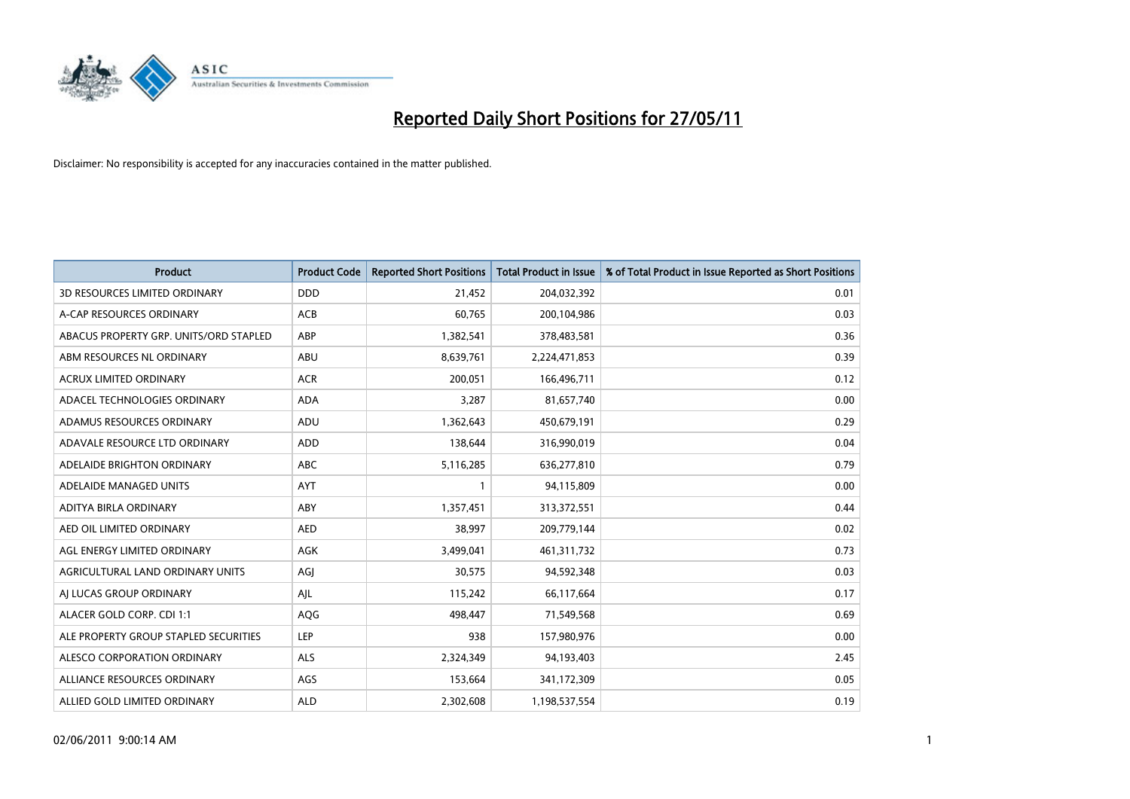

| <b>Product</b>                         | <b>Product Code</b> | <b>Reported Short Positions</b> | Total Product in Issue | % of Total Product in Issue Reported as Short Positions |
|----------------------------------------|---------------------|---------------------------------|------------------------|---------------------------------------------------------|
| <b>3D RESOURCES LIMITED ORDINARY</b>   | <b>DDD</b>          | 21,452                          | 204,032,392            | 0.01                                                    |
| A-CAP RESOURCES ORDINARY               | <b>ACB</b>          | 60,765                          | 200,104,986            | 0.03                                                    |
| ABACUS PROPERTY GRP. UNITS/ORD STAPLED | ABP                 | 1,382,541                       | 378,483,581            | 0.36                                                    |
| ABM RESOURCES NL ORDINARY              | <b>ABU</b>          | 8,639,761                       | 2,224,471,853          | 0.39                                                    |
| <b>ACRUX LIMITED ORDINARY</b>          | <b>ACR</b>          | 200,051                         | 166,496,711            | 0.12                                                    |
| ADACEL TECHNOLOGIES ORDINARY           | <b>ADA</b>          | 3,287                           | 81,657,740             | 0.00                                                    |
| ADAMUS RESOURCES ORDINARY              | ADU                 | 1,362,643                       | 450,679,191            | 0.29                                                    |
| ADAVALE RESOURCE LTD ORDINARY          | <b>ADD</b>          | 138,644                         | 316,990,019            | 0.04                                                    |
| ADELAIDE BRIGHTON ORDINARY             | <b>ABC</b>          | 5,116,285                       | 636,277,810            | 0.79                                                    |
| ADELAIDE MANAGED UNITS                 | <b>AYT</b>          |                                 | 94,115,809             | 0.00                                                    |
| ADITYA BIRLA ORDINARY                  | ABY                 | 1,357,451                       | 313,372,551            | 0.44                                                    |
| AED OIL LIMITED ORDINARY               | <b>AED</b>          | 38,997                          | 209,779,144            | 0.02                                                    |
| AGL ENERGY LIMITED ORDINARY            | <b>AGK</b>          | 3,499,041                       | 461,311,732            | 0.73                                                    |
| AGRICULTURAL LAND ORDINARY UNITS       | AGI                 | 30,575                          | 94,592,348             | 0.03                                                    |
| AI LUCAS GROUP ORDINARY                | AJL                 | 115,242                         | 66,117,664             | 0.17                                                    |
| ALACER GOLD CORP. CDI 1:1              | AQG                 | 498,447                         | 71,549,568             | 0.69                                                    |
| ALE PROPERTY GROUP STAPLED SECURITIES  | LEP                 | 938                             | 157,980,976            | 0.00                                                    |
| ALESCO CORPORATION ORDINARY            | <b>ALS</b>          | 2,324,349                       | 94,193,403             | 2.45                                                    |
| ALLIANCE RESOURCES ORDINARY            | AGS                 | 153,664                         | 341,172,309            | 0.05                                                    |
| ALLIED GOLD LIMITED ORDINARY           | <b>ALD</b>          | 2,302,608                       | 1,198,537,554          | 0.19                                                    |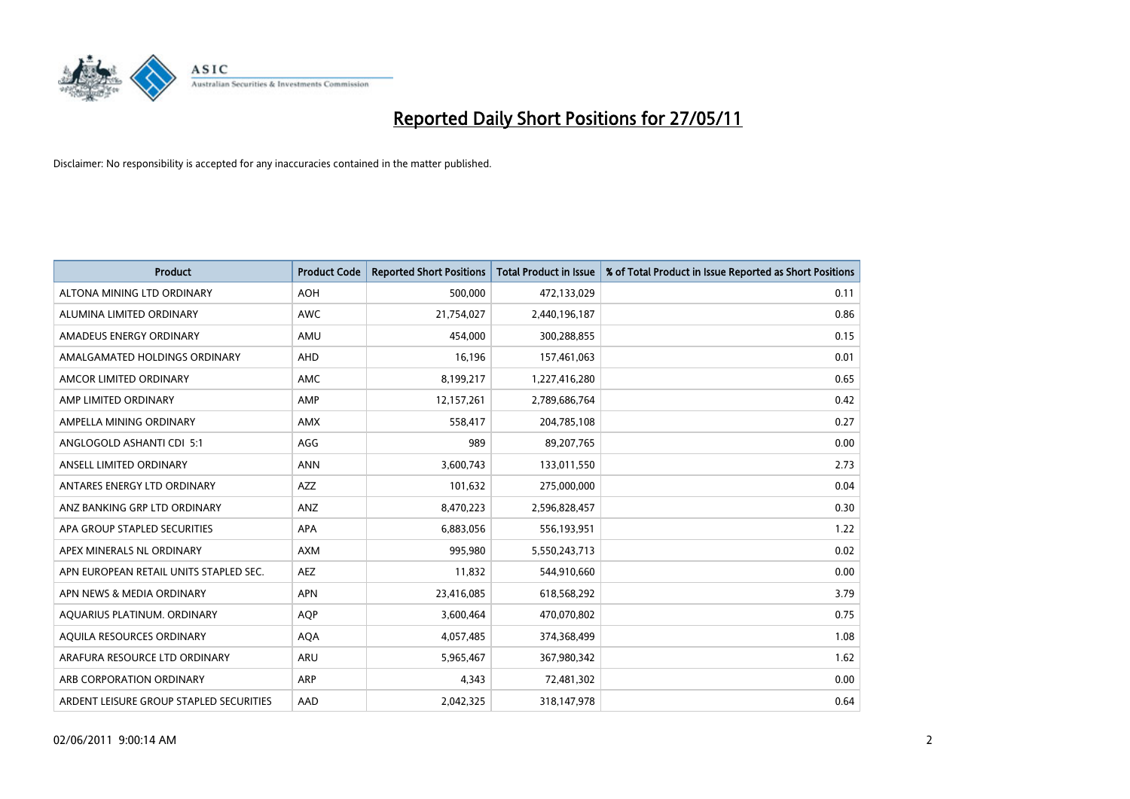

| <b>Product</b>                          | <b>Product Code</b> | <b>Reported Short Positions</b> | Total Product in Issue | % of Total Product in Issue Reported as Short Positions |
|-----------------------------------------|---------------------|---------------------------------|------------------------|---------------------------------------------------------|
| ALTONA MINING LTD ORDINARY              | <b>AOH</b>          | 500,000                         | 472,133,029            | 0.11                                                    |
| ALUMINA LIMITED ORDINARY                | <b>AWC</b>          | 21,754,027                      | 2,440,196,187          | 0.86                                                    |
| AMADEUS ENERGY ORDINARY                 | AMU                 | 454,000                         | 300,288,855            | 0.15                                                    |
| AMALGAMATED HOLDINGS ORDINARY           | AHD                 | 16,196                          | 157,461,063            | 0.01                                                    |
| AMCOR LIMITED ORDINARY                  | <b>AMC</b>          | 8,199,217                       | 1,227,416,280          | 0.65                                                    |
| AMP LIMITED ORDINARY                    | AMP                 | 12,157,261                      | 2,789,686,764          | 0.42                                                    |
| AMPELLA MINING ORDINARY                 | <b>AMX</b>          | 558,417                         | 204,785,108            | 0.27                                                    |
| ANGLOGOLD ASHANTI CDI 5:1               | AGG                 | 989                             | 89,207,765             | 0.00                                                    |
| ANSELL LIMITED ORDINARY                 | <b>ANN</b>          | 3,600,743                       | 133,011,550            | 2.73                                                    |
| ANTARES ENERGY LTD ORDINARY             | <b>AZZ</b>          | 101,632                         | 275,000,000            | 0.04                                                    |
| ANZ BANKING GRP LTD ORDINARY            | <b>ANZ</b>          | 8,470,223                       | 2,596,828,457          | 0.30                                                    |
| APA GROUP STAPLED SECURITIES            | <b>APA</b>          | 6,883,056                       | 556,193,951            | 1.22                                                    |
| APEX MINERALS NL ORDINARY               | <b>AXM</b>          | 995,980                         | 5,550,243,713          | 0.02                                                    |
| APN EUROPEAN RETAIL UNITS STAPLED SEC.  | <b>AEZ</b>          | 11,832                          | 544,910,660            | 0.00                                                    |
| APN NEWS & MEDIA ORDINARY               | <b>APN</b>          | 23,416,085                      | 618,568,292            | 3.79                                                    |
| AQUARIUS PLATINUM. ORDINARY             | <b>AOP</b>          | 3,600,464                       | 470,070,802            | 0.75                                                    |
| AQUILA RESOURCES ORDINARY               | <b>AQA</b>          | 4,057,485                       | 374,368,499            | 1.08                                                    |
| ARAFURA RESOURCE LTD ORDINARY           | <b>ARU</b>          | 5,965,467                       | 367,980,342            | 1.62                                                    |
| ARB CORPORATION ORDINARY                | <b>ARP</b>          | 4,343                           | 72,481,302             | 0.00                                                    |
| ARDENT LEISURE GROUP STAPLED SECURITIES | AAD                 | 2.042.325                       | 318,147,978            | 0.64                                                    |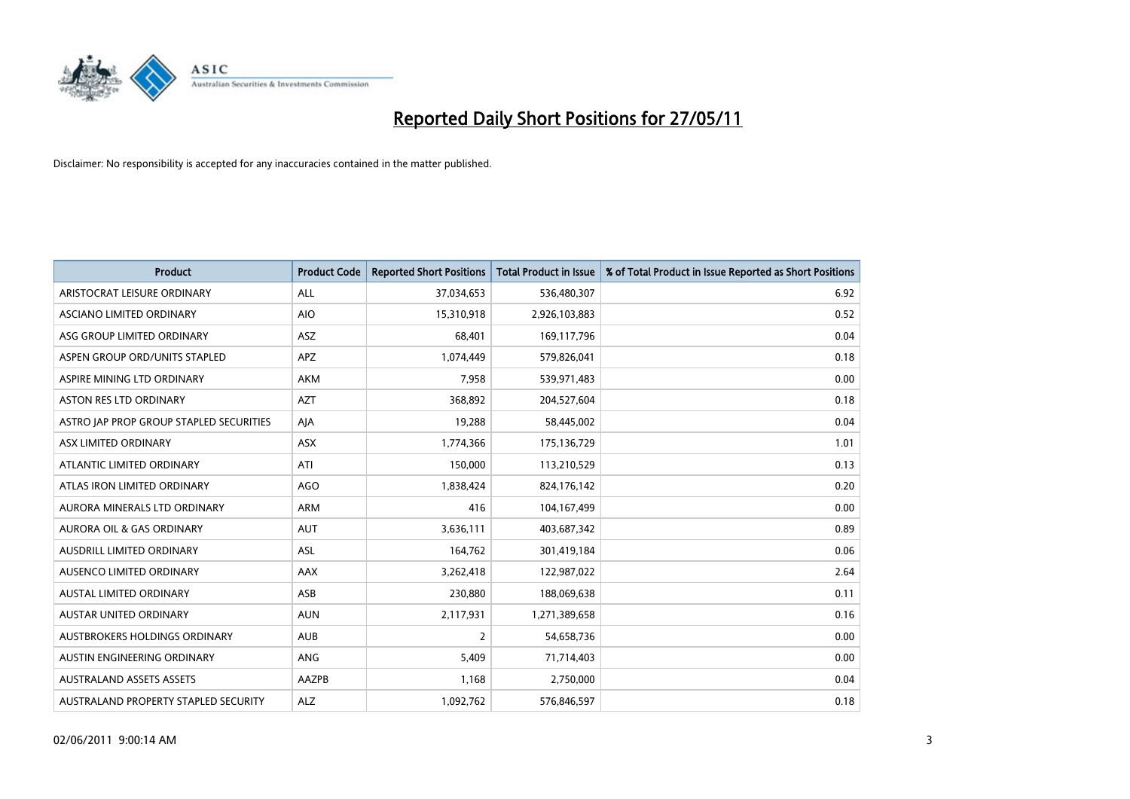

| <b>Product</b>                          | <b>Product Code</b> | <b>Reported Short Positions</b> | Total Product in Issue | % of Total Product in Issue Reported as Short Positions |
|-----------------------------------------|---------------------|---------------------------------|------------------------|---------------------------------------------------------|
| ARISTOCRAT LEISURE ORDINARY             | ALL                 | 37,034,653                      | 536,480,307            | 6.92                                                    |
| ASCIANO LIMITED ORDINARY                | <b>AIO</b>          | 15,310,918                      | 2,926,103,883          | 0.52                                                    |
| ASG GROUP LIMITED ORDINARY              | <b>ASZ</b>          | 68,401                          | 169,117,796            | 0.04                                                    |
| ASPEN GROUP ORD/UNITS STAPLED           | APZ                 | 1,074,449                       | 579,826,041            | 0.18                                                    |
| ASPIRE MINING LTD ORDINARY              | <b>AKM</b>          | 7,958                           | 539,971,483            | 0.00                                                    |
| <b>ASTON RES LTD ORDINARY</b>           | <b>AZT</b>          | 368,892                         | 204,527,604            | 0.18                                                    |
| ASTRO JAP PROP GROUP STAPLED SECURITIES | AJA                 | 19,288                          | 58,445,002             | 0.04                                                    |
| ASX LIMITED ORDINARY                    | ASX                 | 1,774,366                       | 175,136,729            | 1.01                                                    |
| ATLANTIC LIMITED ORDINARY               | ATI                 | 150,000                         | 113,210,529            | 0.13                                                    |
| ATLAS IRON LIMITED ORDINARY             | <b>AGO</b>          | 1,838,424                       | 824,176,142            | 0.20                                                    |
| AURORA MINERALS LTD ORDINARY            | <b>ARM</b>          | 416                             | 104,167,499            | 0.00                                                    |
| AURORA OIL & GAS ORDINARY               | <b>AUT</b>          | 3,636,111                       | 403,687,342            | 0.89                                                    |
| AUSDRILL LIMITED ORDINARY               | <b>ASL</b>          | 164,762                         | 301,419,184            | 0.06                                                    |
| AUSENCO LIMITED ORDINARY                | AAX                 | 3,262,418                       | 122,987,022            | 2.64                                                    |
| <b>AUSTAL LIMITED ORDINARY</b>          | ASB                 | 230,880                         | 188,069,638            | 0.11                                                    |
| <b>AUSTAR UNITED ORDINARY</b>           | <b>AUN</b>          | 2,117,931                       | 1,271,389,658          | 0.16                                                    |
| AUSTBROKERS HOLDINGS ORDINARY           | <b>AUB</b>          | $\overline{2}$                  | 54,658,736             | 0.00                                                    |
| AUSTIN ENGINEERING ORDINARY             | ANG                 | 5,409                           | 71,714,403             | 0.00                                                    |
| <b>AUSTRALAND ASSETS ASSETS</b>         | AAZPB               | 1,168                           | 2,750,000              | 0.04                                                    |
| AUSTRALAND PROPERTY STAPLED SECURITY    | <b>ALZ</b>          | 1,092,762                       | 576,846,597            | 0.18                                                    |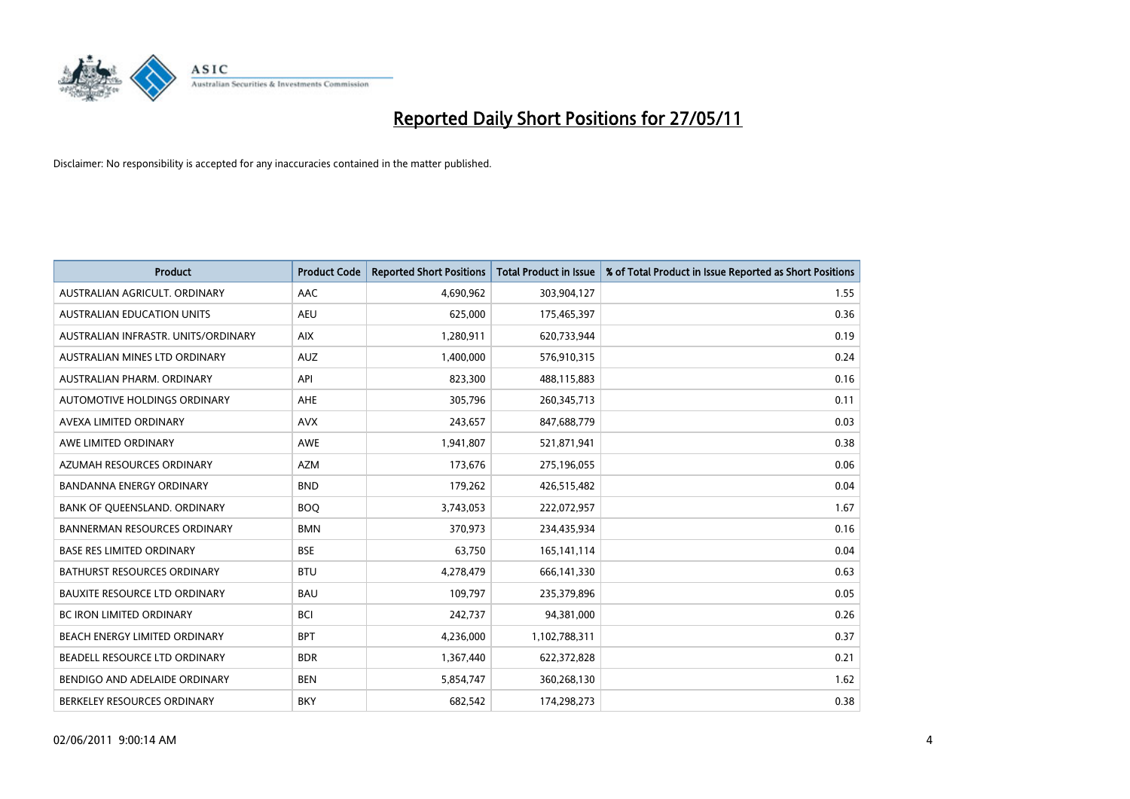

| <b>Product</b>                       | <b>Product Code</b> | <b>Reported Short Positions</b> | Total Product in Issue | % of Total Product in Issue Reported as Short Positions |
|--------------------------------------|---------------------|---------------------------------|------------------------|---------------------------------------------------------|
| AUSTRALIAN AGRICULT, ORDINARY        | AAC                 | 4,690,962                       | 303,904,127            | 1.55                                                    |
| AUSTRALIAN EDUCATION UNITS           | <b>AEU</b>          | 625,000                         | 175,465,397            | 0.36                                                    |
| AUSTRALIAN INFRASTR, UNITS/ORDINARY  | <b>AIX</b>          | 1,280,911                       | 620,733,944            | 0.19                                                    |
| AUSTRALIAN MINES LTD ORDINARY        | <b>AUZ</b>          | 1,400,000                       | 576,910,315            | 0.24                                                    |
| AUSTRALIAN PHARM, ORDINARY           | API                 | 823,300                         | 488,115,883            | 0.16                                                    |
| AUTOMOTIVE HOLDINGS ORDINARY         | <b>AHE</b>          | 305,796                         | 260,345,713            | 0.11                                                    |
| AVEXA LIMITED ORDINARY               | <b>AVX</b>          | 243,657                         | 847,688,779            | 0.03                                                    |
| AWE LIMITED ORDINARY                 | AWE                 | 1,941,807                       | 521,871,941            | 0.38                                                    |
| AZUMAH RESOURCES ORDINARY            | <b>AZM</b>          | 173,676                         | 275,196,055            | 0.06                                                    |
| <b>BANDANNA ENERGY ORDINARY</b>      | <b>BND</b>          | 179,262                         | 426,515,482            | 0.04                                                    |
| BANK OF QUEENSLAND. ORDINARY         | <b>BOO</b>          | 3,743,053                       | 222,072,957            | 1.67                                                    |
| <b>BANNERMAN RESOURCES ORDINARY</b>  | <b>BMN</b>          | 370,973                         | 234,435,934            | 0.16                                                    |
| <b>BASE RES LIMITED ORDINARY</b>     | <b>BSE</b>          | 63,750                          | 165,141,114            | 0.04                                                    |
| <b>BATHURST RESOURCES ORDINARY</b>   | <b>BTU</b>          | 4,278,479                       | 666,141,330            | 0.63                                                    |
| <b>BAUXITE RESOURCE LTD ORDINARY</b> | <b>BAU</b>          | 109,797                         | 235,379,896            | 0.05                                                    |
| BC IRON LIMITED ORDINARY             | <b>BCI</b>          | 242,737                         | 94,381,000             | 0.26                                                    |
| BEACH ENERGY LIMITED ORDINARY        | <b>BPT</b>          | 4,236,000                       | 1,102,788,311          | 0.37                                                    |
| BEADELL RESOURCE LTD ORDINARY        | <b>BDR</b>          | 1,367,440                       | 622,372,828            | 0.21                                                    |
| BENDIGO AND ADELAIDE ORDINARY        | <b>BEN</b>          | 5,854,747                       | 360,268,130            | 1.62                                                    |
| BERKELEY RESOURCES ORDINARY          | <b>BKY</b>          | 682.542                         | 174,298,273            | 0.38                                                    |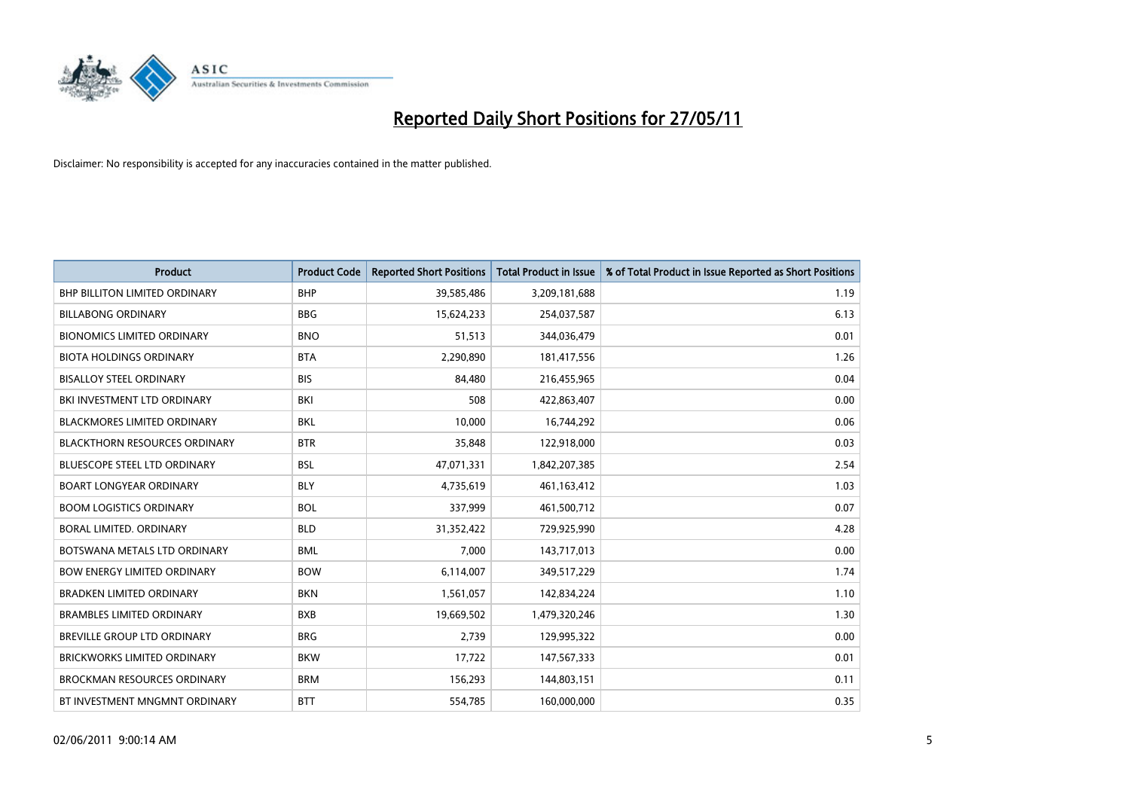

| <b>Product</b>                       | <b>Product Code</b> | <b>Reported Short Positions</b> | Total Product in Issue | % of Total Product in Issue Reported as Short Positions |
|--------------------------------------|---------------------|---------------------------------|------------------------|---------------------------------------------------------|
| <b>BHP BILLITON LIMITED ORDINARY</b> | <b>BHP</b>          | 39,585,486                      | 3,209,181,688          | 1.19                                                    |
| <b>BILLABONG ORDINARY</b>            | <b>BBG</b>          | 15,624,233                      | 254,037,587            | 6.13                                                    |
| <b>BIONOMICS LIMITED ORDINARY</b>    | <b>BNO</b>          | 51,513                          | 344,036,479            | 0.01                                                    |
| <b>BIOTA HOLDINGS ORDINARY</b>       | <b>BTA</b>          | 2,290,890                       | 181,417,556            | 1.26                                                    |
| <b>BISALLOY STEEL ORDINARY</b>       | <b>BIS</b>          | 84.480                          | 216,455,965            | 0.04                                                    |
| BKI INVESTMENT LTD ORDINARY          | <b>BKI</b>          | 508                             | 422,863,407            | 0.00                                                    |
| <b>BLACKMORES LIMITED ORDINARY</b>   | <b>BKL</b>          | 10.000                          | 16,744,292             | 0.06                                                    |
| <b>BLACKTHORN RESOURCES ORDINARY</b> | <b>BTR</b>          | 35,848                          | 122,918,000            | 0.03                                                    |
| BLUESCOPE STEEL LTD ORDINARY         | <b>BSL</b>          | 47,071,331                      | 1,842,207,385          | 2.54                                                    |
| <b>BOART LONGYEAR ORDINARY</b>       | <b>BLY</b>          | 4,735,619                       | 461,163,412            | 1.03                                                    |
| <b>BOOM LOGISTICS ORDINARY</b>       | <b>BOL</b>          | 337,999                         | 461,500,712            | 0.07                                                    |
| <b>BORAL LIMITED, ORDINARY</b>       | <b>BLD</b>          | 31,352,422                      | 729,925,990            | 4.28                                                    |
| BOTSWANA METALS LTD ORDINARY         | <b>BML</b>          | 7,000                           | 143,717,013            | 0.00                                                    |
| <b>BOW ENERGY LIMITED ORDINARY</b>   | <b>BOW</b>          | 6,114,007                       | 349,517,229            | 1.74                                                    |
| BRADKEN LIMITED ORDINARY             | <b>BKN</b>          | 1,561,057                       | 142,834,224            | 1.10                                                    |
| <b>BRAMBLES LIMITED ORDINARY</b>     | <b>BXB</b>          | 19,669,502                      | 1,479,320,246          | 1.30                                                    |
| BREVILLE GROUP LTD ORDINARY          | <b>BRG</b>          | 2,739                           | 129,995,322            | 0.00                                                    |
| BRICKWORKS LIMITED ORDINARY          | <b>BKW</b>          | 17,722                          | 147,567,333            | 0.01                                                    |
| <b>BROCKMAN RESOURCES ORDINARY</b>   | <b>BRM</b>          | 156,293                         | 144,803,151            | 0.11                                                    |
| BT INVESTMENT MNGMNT ORDINARY        | <b>BTT</b>          | 554,785                         | 160,000,000            | 0.35                                                    |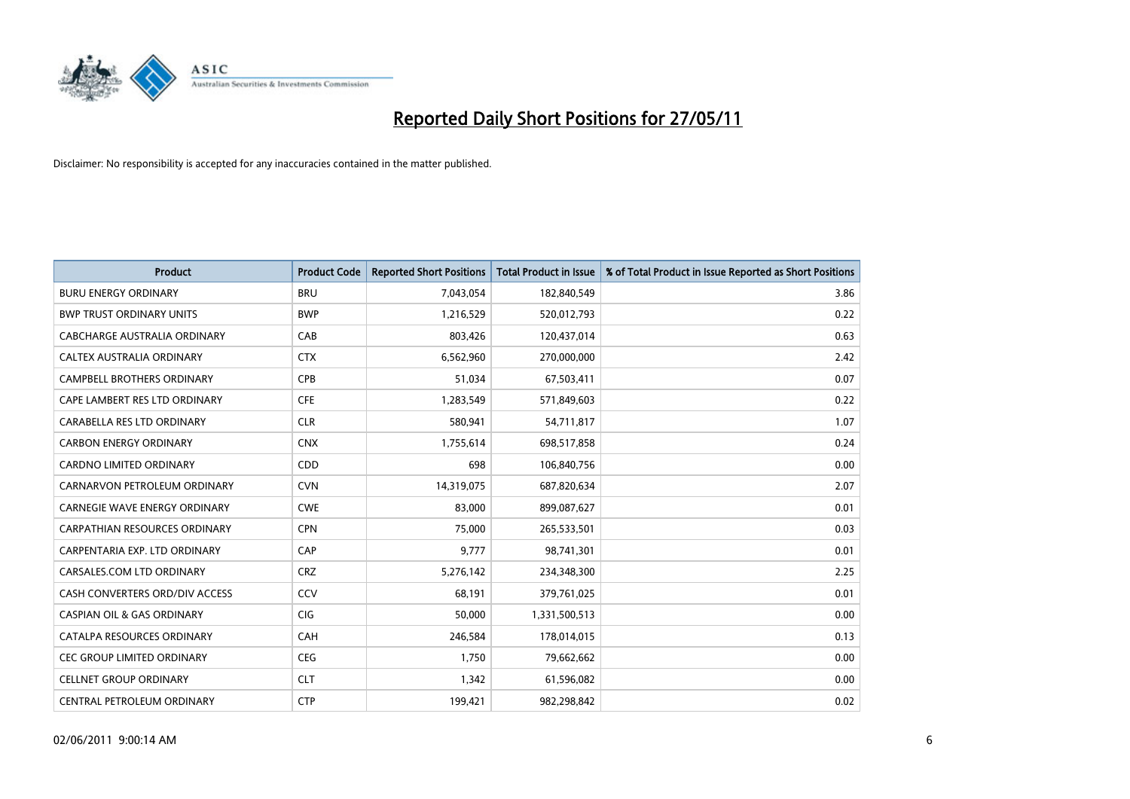

| <b>Product</b>                        | <b>Product Code</b> | <b>Reported Short Positions</b> | <b>Total Product in Issue</b> | % of Total Product in Issue Reported as Short Positions |
|---------------------------------------|---------------------|---------------------------------|-------------------------------|---------------------------------------------------------|
| <b>BURU ENERGY ORDINARY</b>           | <b>BRU</b>          | 7,043,054                       | 182,840,549                   | 3.86                                                    |
| <b>BWP TRUST ORDINARY UNITS</b>       | <b>BWP</b>          | 1,216,529                       | 520,012,793                   | 0.22                                                    |
| CABCHARGE AUSTRALIA ORDINARY          | CAB                 | 803,426                         | 120,437,014                   | 0.63                                                    |
| CALTEX AUSTRALIA ORDINARY             | <b>CTX</b>          | 6,562,960                       | 270,000,000                   | 2.42                                                    |
| <b>CAMPBELL BROTHERS ORDINARY</b>     | <b>CPB</b>          | 51,034                          | 67,503,411                    | 0.07                                                    |
| CAPE LAMBERT RES LTD ORDINARY         | CFE                 | 1,283,549                       | 571,849,603                   | 0.22                                                    |
| CARABELLA RES LTD ORDINARY            | <b>CLR</b>          | 580,941                         | 54,711,817                    | 1.07                                                    |
| <b>CARBON ENERGY ORDINARY</b>         | <b>CNX</b>          | 1,755,614                       | 698,517,858                   | 0.24                                                    |
| <b>CARDNO LIMITED ORDINARY</b>        | CDD                 | 698                             | 106,840,756                   | 0.00                                                    |
| CARNARVON PETROLEUM ORDINARY          | <b>CVN</b>          | 14,319,075                      | 687,820,634                   | 2.07                                                    |
| CARNEGIE WAVE ENERGY ORDINARY         | <b>CWE</b>          | 83,000                          | 899,087,627                   | 0.01                                                    |
| CARPATHIAN RESOURCES ORDINARY         | <b>CPN</b>          | 75,000                          | 265,533,501                   | 0.03                                                    |
| CARPENTARIA EXP. LTD ORDINARY         | CAP                 | 9,777                           | 98,741,301                    | 0.01                                                    |
| CARSALES.COM LTD ORDINARY             | <b>CRZ</b>          | 5,276,142                       | 234,348,300                   | 2.25                                                    |
| CASH CONVERTERS ORD/DIV ACCESS        | CCV                 | 68.191                          | 379,761,025                   | 0.01                                                    |
| <b>CASPIAN OIL &amp; GAS ORDINARY</b> | <b>CIG</b>          | 50,000                          | 1,331,500,513                 | 0.00                                                    |
| CATALPA RESOURCES ORDINARY            | CAH                 | 246,584                         | 178,014,015                   | 0.13                                                    |
| CEC GROUP LIMITED ORDINARY            | <b>CEG</b>          | 1,750                           | 79,662,662                    | 0.00                                                    |
| <b>CELLNET GROUP ORDINARY</b>         | <b>CLT</b>          | 1,342                           | 61,596,082                    | 0.00                                                    |
| CENTRAL PETROLEUM ORDINARY            | <b>CTP</b>          | 199,421                         | 982,298,842                   | 0.02                                                    |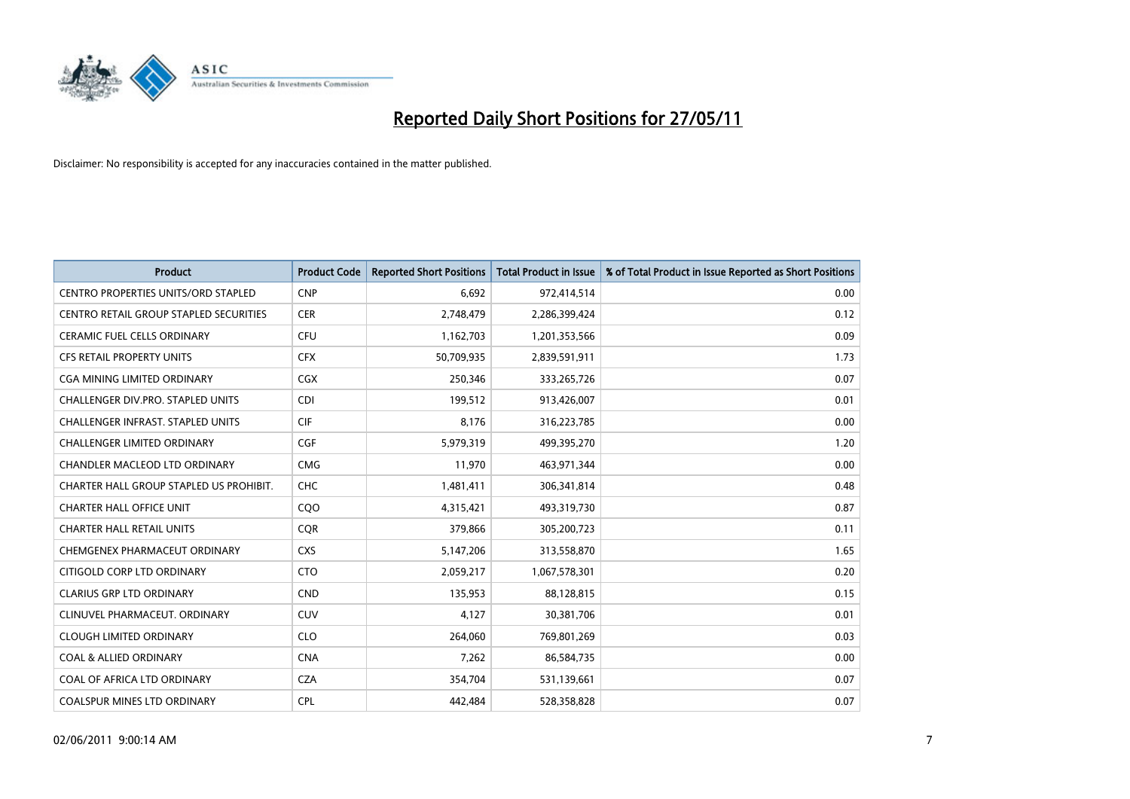

| <b>Product</b>                                | <b>Product Code</b> | <b>Reported Short Positions</b> | Total Product in Issue | % of Total Product in Issue Reported as Short Positions |
|-----------------------------------------------|---------------------|---------------------------------|------------------------|---------------------------------------------------------|
| <b>CENTRO PROPERTIES UNITS/ORD STAPLED</b>    | <b>CNP</b>          | 6,692                           | 972,414,514            | 0.00                                                    |
| <b>CENTRO RETAIL GROUP STAPLED SECURITIES</b> | <b>CER</b>          | 2,748,479                       | 2,286,399,424          | 0.12                                                    |
| <b>CERAMIC FUEL CELLS ORDINARY</b>            | <b>CFU</b>          | 1,162,703                       | 1,201,353,566          | 0.09                                                    |
| CFS RETAIL PROPERTY UNITS                     | <b>CFX</b>          | 50,709,935                      | 2,839,591,911          | 1.73                                                    |
| <b>CGA MINING LIMITED ORDINARY</b>            | <b>CGX</b>          | 250,346                         | 333,265,726            | 0.07                                                    |
| <b>CHALLENGER DIV.PRO. STAPLED UNITS</b>      | <b>CDI</b>          | 199,512                         | 913,426,007            | 0.01                                                    |
| <b>CHALLENGER INFRAST, STAPLED UNITS</b>      | <b>CIF</b>          | 8.176                           | 316,223,785            | 0.00                                                    |
| <b>CHALLENGER LIMITED ORDINARY</b>            | CGF                 | 5,979,319                       | 499,395,270            | 1.20                                                    |
| CHANDLER MACLEOD LTD ORDINARY                 | <b>CMG</b>          | 11,970                          | 463,971,344            | 0.00                                                    |
| CHARTER HALL GROUP STAPLED US PROHIBIT.       | <b>CHC</b>          | 1,481,411                       | 306,341,814            | 0.48                                                    |
| <b>CHARTER HALL OFFICE UNIT</b>               | COO                 | 4,315,421                       | 493,319,730            | 0.87                                                    |
| <b>CHARTER HALL RETAIL UNITS</b>              | <b>CQR</b>          | 379,866                         | 305,200,723            | 0.11                                                    |
| CHEMGENEX PHARMACEUT ORDINARY                 | <b>CXS</b>          | 5,147,206                       | 313,558,870            | 1.65                                                    |
| CITIGOLD CORP LTD ORDINARY                    | <b>CTO</b>          | 2,059,217                       | 1,067,578,301          | 0.20                                                    |
| <b>CLARIUS GRP LTD ORDINARY</b>               | <b>CND</b>          | 135,953                         | 88,128,815             | 0.15                                                    |
| CLINUVEL PHARMACEUT, ORDINARY                 | CUV                 | 4,127                           | 30,381,706             | 0.01                                                    |
| <b>CLOUGH LIMITED ORDINARY</b>                | <b>CLO</b>          | 264,060                         | 769,801,269            | 0.03                                                    |
| <b>COAL &amp; ALLIED ORDINARY</b>             | <b>CNA</b>          | 7,262                           | 86,584,735             | 0.00                                                    |
| COAL OF AFRICA LTD ORDINARY                   | <b>CZA</b>          | 354,704                         | 531,139,661            | 0.07                                                    |
| <b>COALSPUR MINES LTD ORDINARY</b>            | <b>CPL</b>          | 442.484                         | 528,358,828            | 0.07                                                    |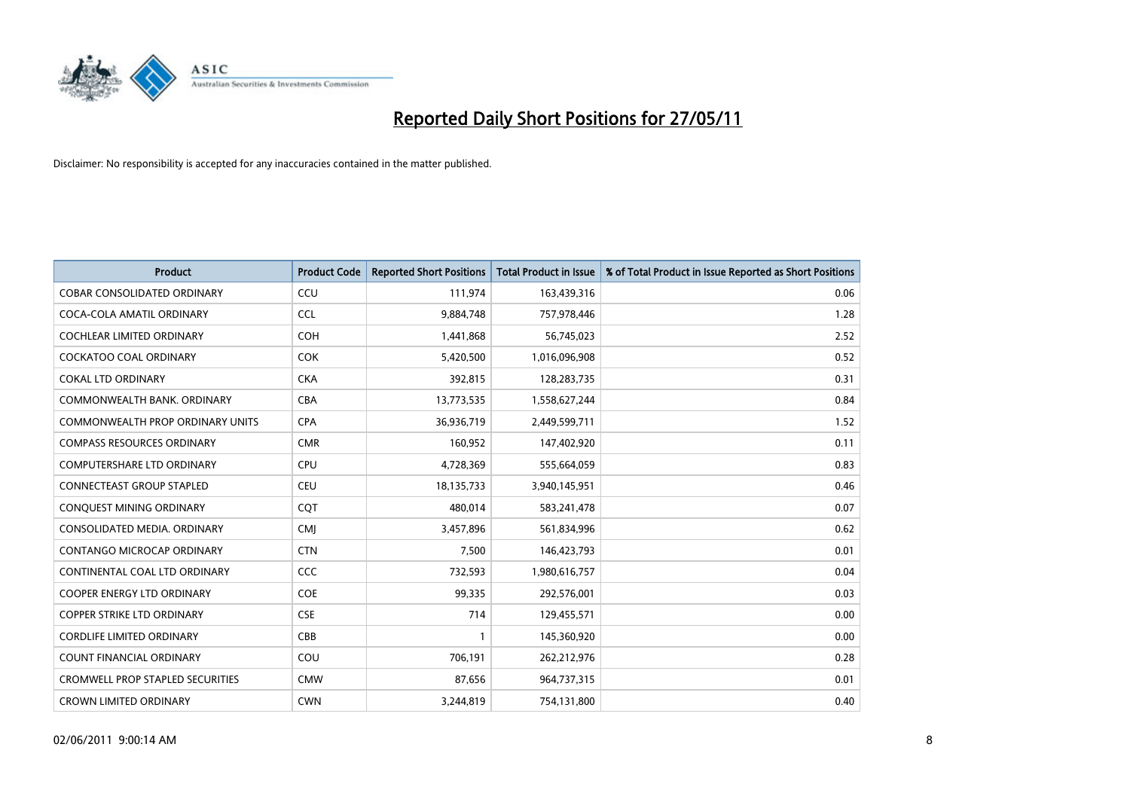

| <b>Product</b>                          | <b>Product Code</b> | <b>Reported Short Positions</b> | <b>Total Product in Issue</b> | % of Total Product in Issue Reported as Short Positions |
|-----------------------------------------|---------------------|---------------------------------|-------------------------------|---------------------------------------------------------|
| <b>COBAR CONSOLIDATED ORDINARY</b>      | CCU                 | 111,974                         | 163,439,316                   | 0.06                                                    |
| COCA-COLA AMATIL ORDINARY               | <b>CCL</b>          | 9,884,748                       | 757,978,446                   | 1.28                                                    |
| <b>COCHLEAR LIMITED ORDINARY</b>        | <b>COH</b>          | 1,441,868                       | 56,745,023                    | 2.52                                                    |
| COCKATOO COAL ORDINARY                  | <b>COK</b>          | 5,420,500                       | 1,016,096,908                 | 0.52                                                    |
| <b>COKAL LTD ORDINARY</b>               | <b>CKA</b>          | 392,815                         | 128,283,735                   | 0.31                                                    |
| COMMONWEALTH BANK, ORDINARY             | <b>CBA</b>          | 13,773,535                      | 1,558,627,244                 | 0.84                                                    |
| COMMONWEALTH PROP ORDINARY UNITS        | <b>CPA</b>          | 36,936,719                      | 2,449,599,711                 | 1.52                                                    |
| <b>COMPASS RESOURCES ORDINARY</b>       | <b>CMR</b>          | 160,952                         | 147,402,920                   | 0.11                                                    |
| <b>COMPUTERSHARE LTD ORDINARY</b>       | <b>CPU</b>          | 4,728,369                       | 555,664,059                   | 0.83                                                    |
| <b>CONNECTEAST GROUP STAPLED</b>        | <b>CEU</b>          | 18,135,733                      | 3,940,145,951                 | 0.46                                                    |
| CONQUEST MINING ORDINARY                | <b>COT</b>          | 480,014                         | 583,241,478                   | 0.07                                                    |
| CONSOLIDATED MEDIA, ORDINARY            | <b>CMJ</b>          | 3,457,896                       | 561,834,996                   | 0.62                                                    |
| CONTANGO MICROCAP ORDINARY              | <b>CTN</b>          | 7,500                           | 146,423,793                   | 0.01                                                    |
| CONTINENTAL COAL LTD ORDINARY           | CCC                 | 732,593                         | 1,980,616,757                 | 0.04                                                    |
| <b>COOPER ENERGY LTD ORDINARY</b>       | <b>COE</b>          | 99,335                          | 292,576,001                   | 0.03                                                    |
| COPPER STRIKE LTD ORDINARY              | <b>CSE</b>          | 714                             | 129,455,571                   | 0.00                                                    |
| <b>CORDLIFE LIMITED ORDINARY</b>        | CBB                 |                                 | 145,360,920                   | 0.00                                                    |
| <b>COUNT FINANCIAL ORDINARY</b>         | COU                 | 706,191                         | 262,212,976                   | 0.28                                                    |
| <b>CROMWELL PROP STAPLED SECURITIES</b> | <b>CMW</b>          | 87,656                          | 964,737,315                   | 0.01                                                    |
| <b>CROWN LIMITED ORDINARY</b>           | <b>CWN</b>          | 3,244,819                       | 754,131,800                   | 0.40                                                    |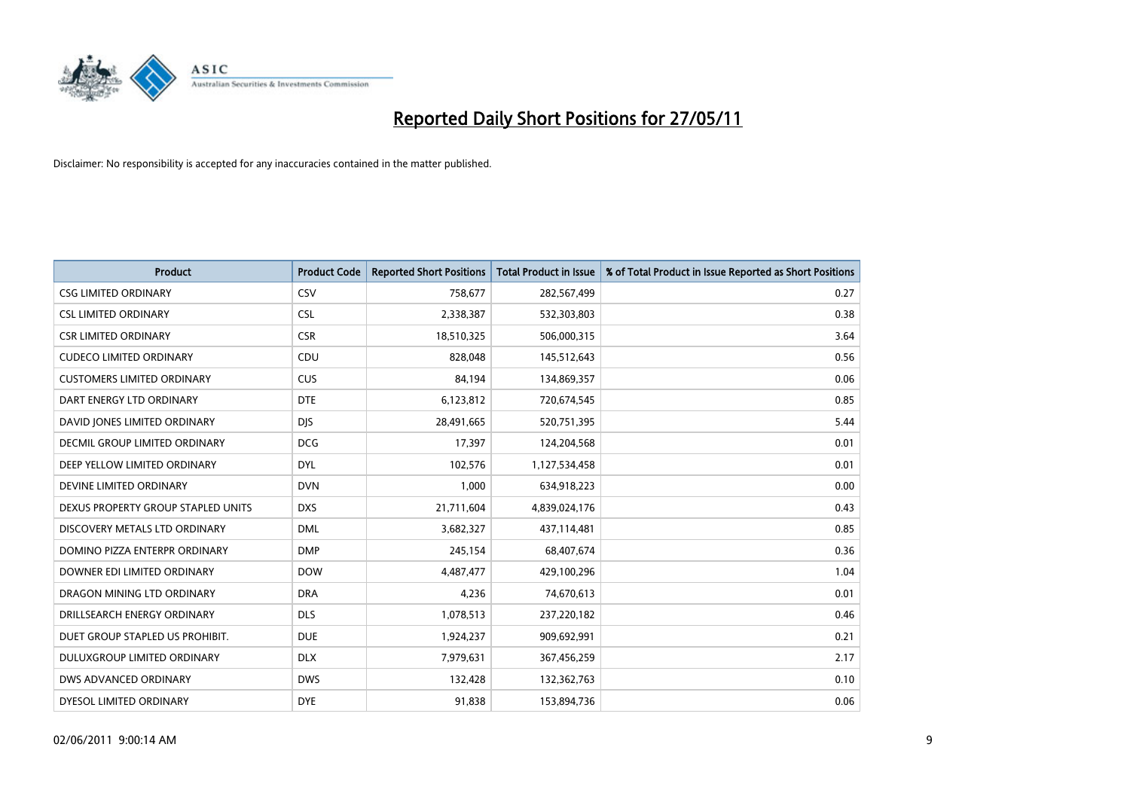

| <b>Product</b>                     | <b>Product Code</b> | <b>Reported Short Positions</b> | <b>Total Product in Issue</b> | % of Total Product in Issue Reported as Short Positions |
|------------------------------------|---------------------|---------------------------------|-------------------------------|---------------------------------------------------------|
| <b>CSG LIMITED ORDINARY</b>        | CSV                 | 758,677                         | 282,567,499                   | 0.27                                                    |
| <b>CSL LIMITED ORDINARY</b>        | <b>CSL</b>          | 2,338,387                       | 532,303,803                   | 0.38                                                    |
| <b>CSR LIMITED ORDINARY</b>        | <b>CSR</b>          | 18,510,325                      | 506,000,315                   | 3.64                                                    |
| <b>CUDECO LIMITED ORDINARY</b>     | CDU                 | 828,048                         | 145,512,643                   | 0.56                                                    |
| <b>CUSTOMERS LIMITED ORDINARY</b>  | CUS                 | 84,194                          | 134,869,357                   | 0.06                                                    |
| DART ENERGY LTD ORDINARY           | <b>DTE</b>          | 6,123,812                       | 720,674,545                   | 0.85                                                    |
| DAVID JONES LIMITED ORDINARY       | <b>DIS</b>          | 28,491,665                      | 520,751,395                   | 5.44                                                    |
| DECMIL GROUP LIMITED ORDINARY      | <b>DCG</b>          | 17,397                          | 124,204,568                   | 0.01                                                    |
| DEEP YELLOW LIMITED ORDINARY       | <b>DYL</b>          | 102,576                         | 1,127,534,458                 | 0.01                                                    |
| DEVINE LIMITED ORDINARY            | <b>DVN</b>          | 1,000                           | 634,918,223                   | 0.00                                                    |
| DEXUS PROPERTY GROUP STAPLED UNITS | <b>DXS</b>          | 21,711,604                      | 4,839,024,176                 | 0.43                                                    |
| DISCOVERY METALS LTD ORDINARY      | <b>DML</b>          | 3,682,327                       | 437,114,481                   | 0.85                                                    |
| DOMINO PIZZA ENTERPR ORDINARY      | <b>DMP</b>          | 245,154                         | 68,407,674                    | 0.36                                                    |
| DOWNER EDI LIMITED ORDINARY        | <b>DOW</b>          | 4,487,477                       | 429,100,296                   | 1.04                                                    |
| DRAGON MINING LTD ORDINARY         | <b>DRA</b>          | 4,236                           | 74,670,613                    | 0.01                                                    |
| DRILLSEARCH ENERGY ORDINARY        | <b>DLS</b>          | 1,078,513                       | 237,220,182                   | 0.46                                                    |
| DUET GROUP STAPLED US PROHIBIT.    | <b>DUE</b>          | 1,924,237                       | 909,692,991                   | 0.21                                                    |
| DULUXGROUP LIMITED ORDINARY        | <b>DLX</b>          | 7,979,631                       | 367,456,259                   | 2.17                                                    |
| DWS ADVANCED ORDINARY              | <b>DWS</b>          | 132,428                         | 132,362,763                   | 0.10                                                    |
| DYESOL LIMITED ORDINARY            | <b>DYE</b>          | 91,838                          | 153,894,736                   | 0.06                                                    |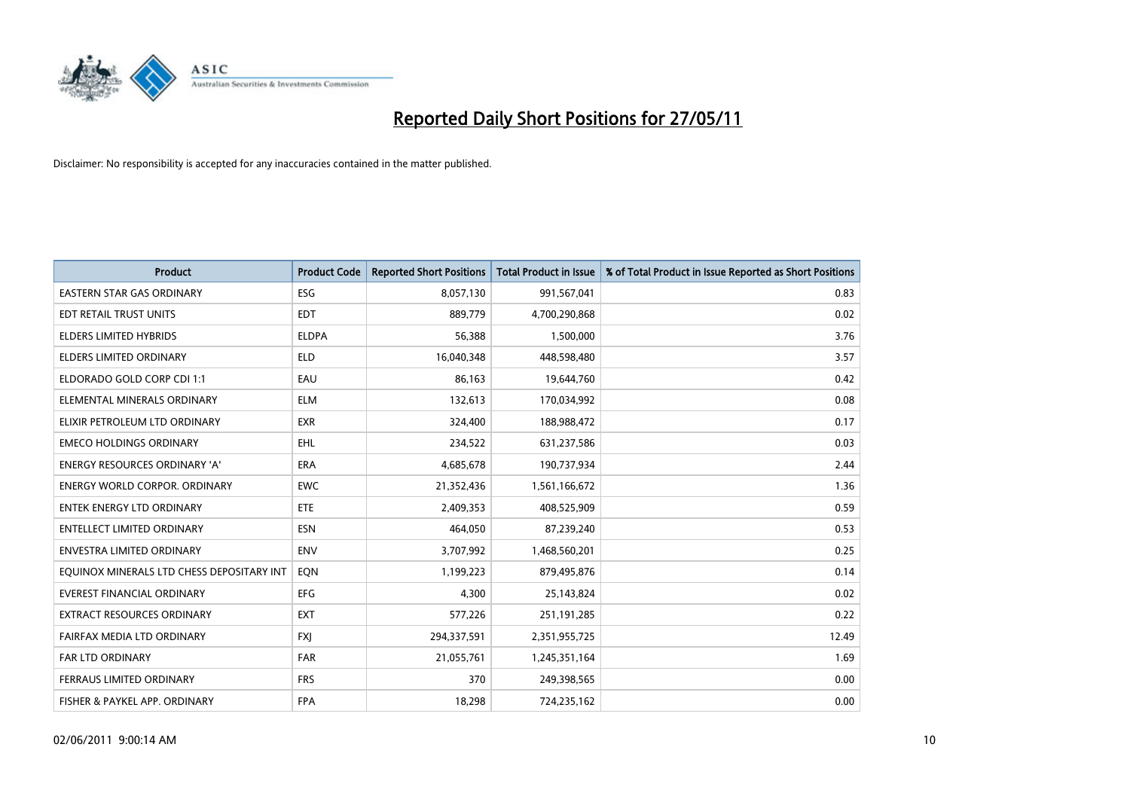

| <b>Product</b>                            | <b>Product Code</b> | <b>Reported Short Positions</b> | <b>Total Product in Issue</b> | % of Total Product in Issue Reported as Short Positions |
|-------------------------------------------|---------------------|---------------------------------|-------------------------------|---------------------------------------------------------|
| <b>EASTERN STAR GAS ORDINARY</b>          | <b>ESG</b>          | 8,057,130                       | 991,567,041                   | 0.83                                                    |
| EDT RETAIL TRUST UNITS                    | <b>EDT</b>          | 889,779                         | 4,700,290,868                 | 0.02                                                    |
| <b>ELDERS LIMITED HYBRIDS</b>             | <b>ELDPA</b>        | 56,388                          | 1,500,000                     | 3.76                                                    |
| ELDERS LIMITED ORDINARY                   | <b>ELD</b>          | 16,040,348                      | 448,598,480                   | 3.57                                                    |
| ELDORADO GOLD CORP CDI 1:1                | EAU                 | 86,163                          | 19,644,760                    | 0.42                                                    |
| ELEMENTAL MINERALS ORDINARY               | <b>ELM</b>          | 132,613                         | 170,034,992                   | 0.08                                                    |
| ELIXIR PETROLEUM LTD ORDINARY             | <b>EXR</b>          | 324,400                         | 188,988,472                   | 0.17                                                    |
| <b>EMECO HOLDINGS ORDINARY</b>            | <b>EHL</b>          | 234,522                         | 631,237,586                   | 0.03                                                    |
| ENERGY RESOURCES ORDINARY 'A'             | <b>ERA</b>          | 4,685,678                       | 190,737,934                   | 2.44                                                    |
| <b>ENERGY WORLD CORPOR, ORDINARY</b>      | <b>EWC</b>          | 21,352,436                      | 1,561,166,672                 | 1.36                                                    |
| ENTEK ENERGY LTD ORDINARY                 | <b>ETE</b>          | 2,409,353                       | 408,525,909                   | 0.59                                                    |
| <b>ENTELLECT LIMITED ORDINARY</b>         | <b>ESN</b>          | 464,050                         | 87,239,240                    | 0.53                                                    |
| <b>ENVESTRA LIMITED ORDINARY</b>          | <b>ENV</b>          | 3,707,992                       | 1,468,560,201                 | 0.25                                                    |
| EQUINOX MINERALS LTD CHESS DEPOSITARY INT | <b>EON</b>          | 1,199,223                       | 879,495,876                   | 0.14                                                    |
| <b>EVEREST FINANCIAL ORDINARY</b>         | <b>EFG</b>          | 4,300                           | 25,143,824                    | 0.02                                                    |
| EXTRACT RESOURCES ORDINARY                | <b>EXT</b>          | 577,226                         | 251,191,285                   | 0.22                                                    |
| FAIRFAX MEDIA LTD ORDINARY                | <b>FXI</b>          | 294,337,591                     | 2,351,955,725                 | 12.49                                                   |
| <b>FAR LTD ORDINARY</b>                   | <b>FAR</b>          | 21,055,761                      | 1,245,351,164                 | 1.69                                                    |
| FERRAUS LIMITED ORDINARY                  | <b>FRS</b>          | 370                             | 249,398,565                   | 0.00                                                    |
| FISHER & PAYKEL APP. ORDINARY             | <b>FPA</b>          | 18,298                          | 724,235,162                   | 0.00                                                    |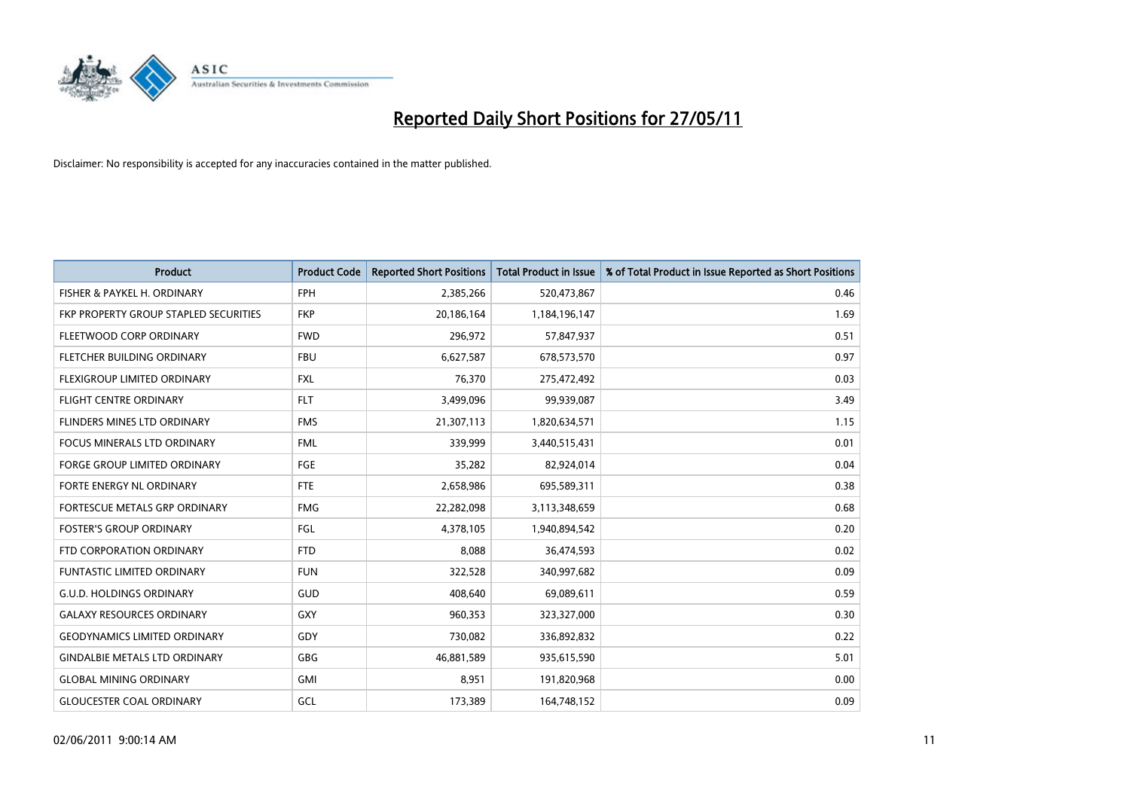

| <b>Product</b>                        | <b>Product Code</b> | <b>Reported Short Positions</b> | <b>Total Product in Issue</b> | % of Total Product in Issue Reported as Short Positions |
|---------------------------------------|---------------------|---------------------------------|-------------------------------|---------------------------------------------------------|
| FISHER & PAYKEL H. ORDINARY           | <b>FPH</b>          | 2,385,266                       | 520,473,867                   | 0.46                                                    |
| FKP PROPERTY GROUP STAPLED SECURITIES | <b>FKP</b>          | 20,186,164                      | 1,184,196,147                 | 1.69                                                    |
| FLEETWOOD CORP ORDINARY               | <b>FWD</b>          | 296,972                         | 57,847,937                    | 0.51                                                    |
| FLETCHER BUILDING ORDINARY            | <b>FBU</b>          | 6,627,587                       | 678,573,570                   | 0.97                                                    |
| FLEXIGROUP LIMITED ORDINARY           | <b>FXL</b>          | 76,370                          | 275,472,492                   | 0.03                                                    |
| <b>FLIGHT CENTRE ORDINARY</b>         | <b>FLT</b>          | 3,499,096                       | 99,939,087                    | 3.49                                                    |
| FLINDERS MINES LTD ORDINARY           | <b>FMS</b>          | 21,307,113                      | 1,820,634,571                 | 1.15                                                    |
| <b>FOCUS MINERALS LTD ORDINARY</b>    | <b>FML</b>          | 339,999                         | 3,440,515,431                 | 0.01                                                    |
| FORGE GROUP LIMITED ORDINARY          | FGE                 | 35,282                          | 82,924,014                    | 0.04                                                    |
| FORTE ENERGY NL ORDINARY              | <b>FTE</b>          | 2,658,986                       | 695,589,311                   | 0.38                                                    |
| FORTESCUE METALS GRP ORDINARY         | <b>FMG</b>          | 22,282,098                      | 3,113,348,659                 | 0.68                                                    |
| <b>FOSTER'S GROUP ORDINARY</b>        | FGL                 | 4,378,105                       | 1,940,894,542                 | 0.20                                                    |
| FTD CORPORATION ORDINARY              | <b>FTD</b>          | 8,088                           | 36,474,593                    | 0.02                                                    |
| <b>FUNTASTIC LIMITED ORDINARY</b>     | <b>FUN</b>          | 322,528                         | 340,997,682                   | 0.09                                                    |
| <b>G.U.D. HOLDINGS ORDINARY</b>       | <b>GUD</b>          | 408,640                         | 69,089,611                    | 0.59                                                    |
| <b>GALAXY RESOURCES ORDINARY</b>      | <b>GXY</b>          | 960,353                         | 323,327,000                   | 0.30                                                    |
| <b>GEODYNAMICS LIMITED ORDINARY</b>   | GDY                 | 730,082                         | 336,892,832                   | 0.22                                                    |
| <b>GINDALBIE METALS LTD ORDINARY</b>  | <b>GBG</b>          | 46,881,589                      | 935,615,590                   | 5.01                                                    |
| <b>GLOBAL MINING ORDINARY</b>         | <b>GMI</b>          | 8,951                           | 191,820,968                   | 0.00                                                    |
| <b>GLOUCESTER COAL ORDINARY</b>       | GCL                 | 173,389                         | 164,748,152                   | 0.09                                                    |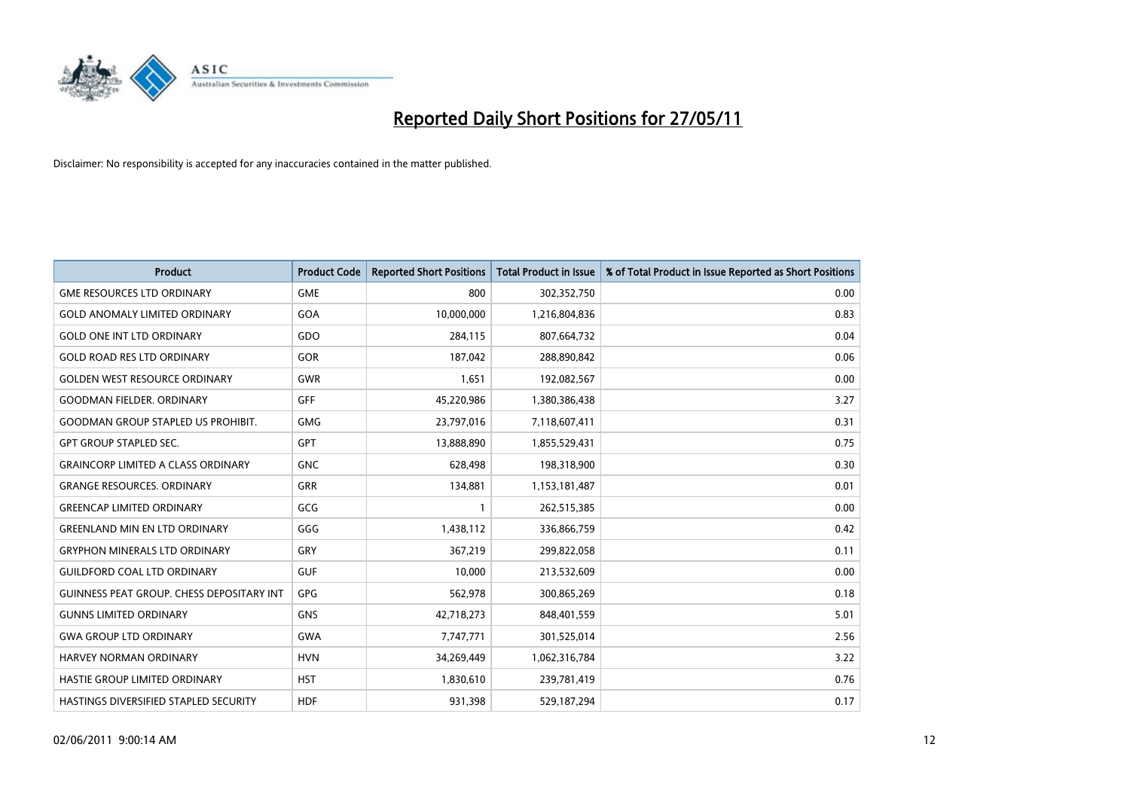

| <b>Product</b>                                   | <b>Product Code</b> | <b>Reported Short Positions</b> | Total Product in Issue | % of Total Product in Issue Reported as Short Positions |
|--------------------------------------------------|---------------------|---------------------------------|------------------------|---------------------------------------------------------|
| <b>GME RESOURCES LTD ORDINARY</b>                | <b>GME</b>          | 800                             | 302,352,750            | 0.00                                                    |
| <b>GOLD ANOMALY LIMITED ORDINARY</b>             | GOA                 | 10,000,000                      | 1,216,804,836          | 0.83                                                    |
| <b>GOLD ONE INT LTD ORDINARY</b>                 | GDO                 | 284,115                         | 807,664,732            | 0.04                                                    |
| <b>GOLD ROAD RES LTD ORDINARY</b>                | GOR                 | 187,042                         | 288,890,842            | 0.06                                                    |
| <b>GOLDEN WEST RESOURCE ORDINARY</b>             | <b>GWR</b>          | 1,651                           | 192,082,567            | 0.00                                                    |
| <b>GOODMAN FIELDER, ORDINARY</b>                 | <b>GFF</b>          | 45,220,986                      | 1,380,386,438          | 3.27                                                    |
| <b>GOODMAN GROUP STAPLED US PROHIBIT.</b>        | <b>GMG</b>          | 23,797,016                      | 7,118,607,411          | 0.31                                                    |
| <b>GPT GROUP STAPLED SEC.</b>                    | GPT                 | 13,888,890                      | 1,855,529,431          | 0.75                                                    |
| <b>GRAINCORP LIMITED A CLASS ORDINARY</b>        | <b>GNC</b>          | 628,498                         | 198,318,900            | 0.30                                                    |
| <b>GRANGE RESOURCES, ORDINARY</b>                | <b>GRR</b>          | 134,881                         | 1,153,181,487          | 0.01                                                    |
| <b>GREENCAP LIMITED ORDINARY</b>                 | GCG                 |                                 | 262,515,385            | 0.00                                                    |
| <b>GREENLAND MIN EN LTD ORDINARY</b>             | GGG                 | 1,438,112                       | 336,866,759            | 0.42                                                    |
| <b>GRYPHON MINERALS LTD ORDINARY</b>             | GRY                 | 367,219                         | 299,822,058            | 0.11                                                    |
| <b>GUILDFORD COAL LTD ORDINARY</b>               | <b>GUF</b>          | 10,000                          | 213,532,609            | 0.00                                                    |
| <b>GUINNESS PEAT GROUP. CHESS DEPOSITARY INT</b> | GPG                 | 562,978                         | 300,865,269            | 0.18                                                    |
| <b>GUNNS LIMITED ORDINARY</b>                    | <b>GNS</b>          | 42,718,273                      | 848,401,559            | 5.01                                                    |
| <b>GWA GROUP LTD ORDINARY</b>                    | <b>GWA</b>          | 7,747,771                       | 301,525,014            | 2.56                                                    |
| <b>HARVEY NORMAN ORDINARY</b>                    | <b>HVN</b>          | 34,269,449                      | 1,062,316,784          | 3.22                                                    |
| HASTIE GROUP LIMITED ORDINARY                    | <b>HST</b>          | 1,830,610                       | 239,781,419            | 0.76                                                    |
| HASTINGS DIVERSIFIED STAPLED SECURITY            | <b>HDF</b>          | 931,398                         | 529,187,294            | 0.17                                                    |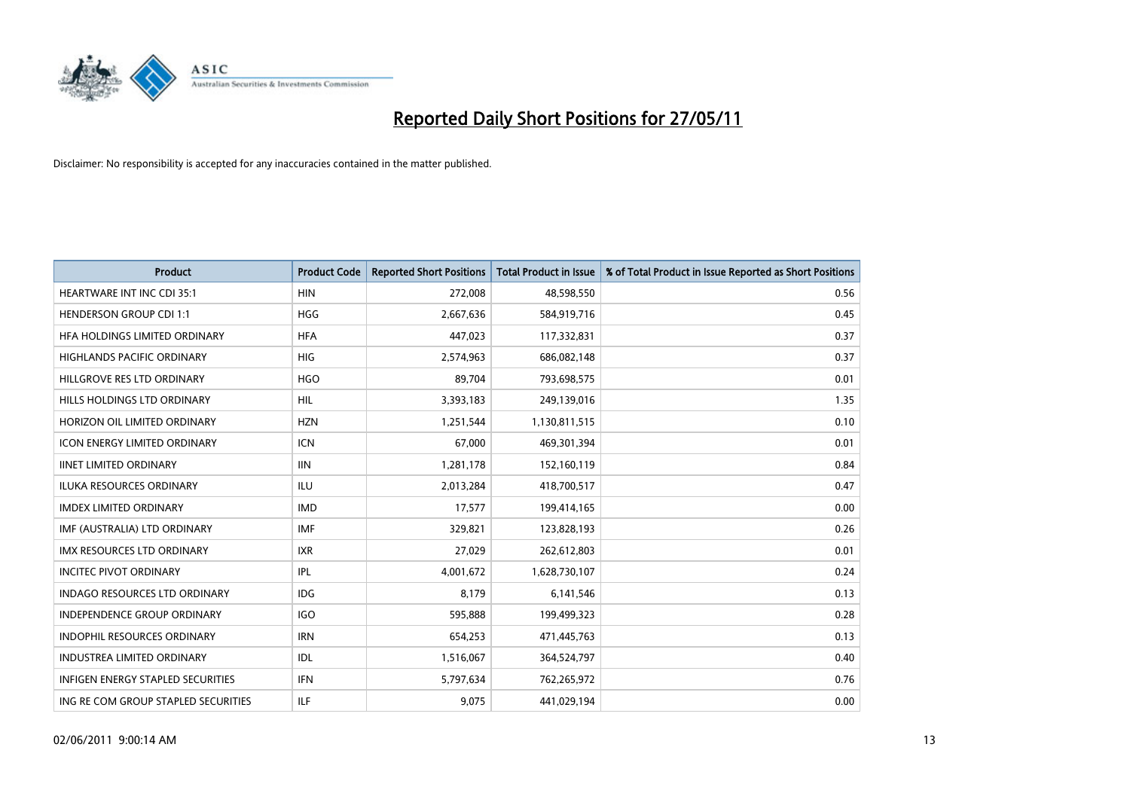

| <b>Product</b>                           | <b>Product Code</b> | <b>Reported Short Positions</b> | <b>Total Product in Issue</b> | % of Total Product in Issue Reported as Short Positions |
|------------------------------------------|---------------------|---------------------------------|-------------------------------|---------------------------------------------------------|
| <b>HEARTWARE INT INC CDI 35:1</b>        | <b>HIN</b>          | 272,008                         | 48,598,550                    | 0.56                                                    |
| <b>HENDERSON GROUP CDI 1:1</b>           | HGG                 | 2,667,636                       | 584,919,716                   | 0.45                                                    |
| HFA HOLDINGS LIMITED ORDINARY            | <b>HFA</b>          | 447,023                         | 117,332,831                   | 0.37                                                    |
| HIGHLANDS PACIFIC ORDINARY               | <b>HIG</b>          | 2,574,963                       | 686,082,148                   | 0.37                                                    |
| HILLGROVE RES LTD ORDINARY               | <b>HGO</b>          | 89,704                          | 793,698,575                   | 0.01                                                    |
| HILLS HOLDINGS LTD ORDINARY              | <b>HIL</b>          | 3,393,183                       | 249,139,016                   | 1.35                                                    |
| HORIZON OIL LIMITED ORDINARY             | <b>HZN</b>          | 1,251,544                       | 1,130,811,515                 | 0.10                                                    |
| <b>ICON ENERGY LIMITED ORDINARY</b>      | <b>ICN</b>          | 67.000                          | 469,301,394                   | 0.01                                                    |
| <b>IINET LIMITED ORDINARY</b>            | <b>IIN</b>          | 1,281,178                       | 152,160,119                   | 0.84                                                    |
| <b>ILUKA RESOURCES ORDINARY</b>          | <b>ILU</b>          | 2,013,284                       | 418,700,517                   | 0.47                                                    |
| <b>IMDEX LIMITED ORDINARY</b>            | <b>IMD</b>          | 17,577                          | 199,414,165                   | 0.00                                                    |
| IMF (AUSTRALIA) LTD ORDINARY             | <b>IMF</b>          | 329,821                         | 123,828,193                   | 0.26                                                    |
| IMX RESOURCES LTD ORDINARY               | <b>IXR</b>          | 27,029                          | 262,612,803                   | 0.01                                                    |
| <b>INCITEC PIVOT ORDINARY</b>            | <b>IPL</b>          | 4,001,672                       | 1,628,730,107                 | 0.24                                                    |
| <b>INDAGO RESOURCES LTD ORDINARY</b>     | <b>IDG</b>          | 8.179                           | 6,141,546                     | 0.13                                                    |
| <b>INDEPENDENCE GROUP ORDINARY</b>       | <b>IGO</b>          | 595,888                         | 199,499,323                   | 0.28                                                    |
| INDOPHIL RESOURCES ORDINARY              | <b>IRN</b>          | 654,253                         | 471,445,763                   | 0.13                                                    |
| <b>INDUSTREA LIMITED ORDINARY</b>        | IDL                 | 1,516,067                       | 364,524,797                   | 0.40                                                    |
| <b>INFIGEN ENERGY STAPLED SECURITIES</b> | <b>IFN</b>          | 5,797,634                       | 762,265,972                   | 0.76                                                    |
| ING RE COM GROUP STAPLED SECURITIES      | <b>ILF</b>          | 9,075                           | 441,029,194                   | 0.00                                                    |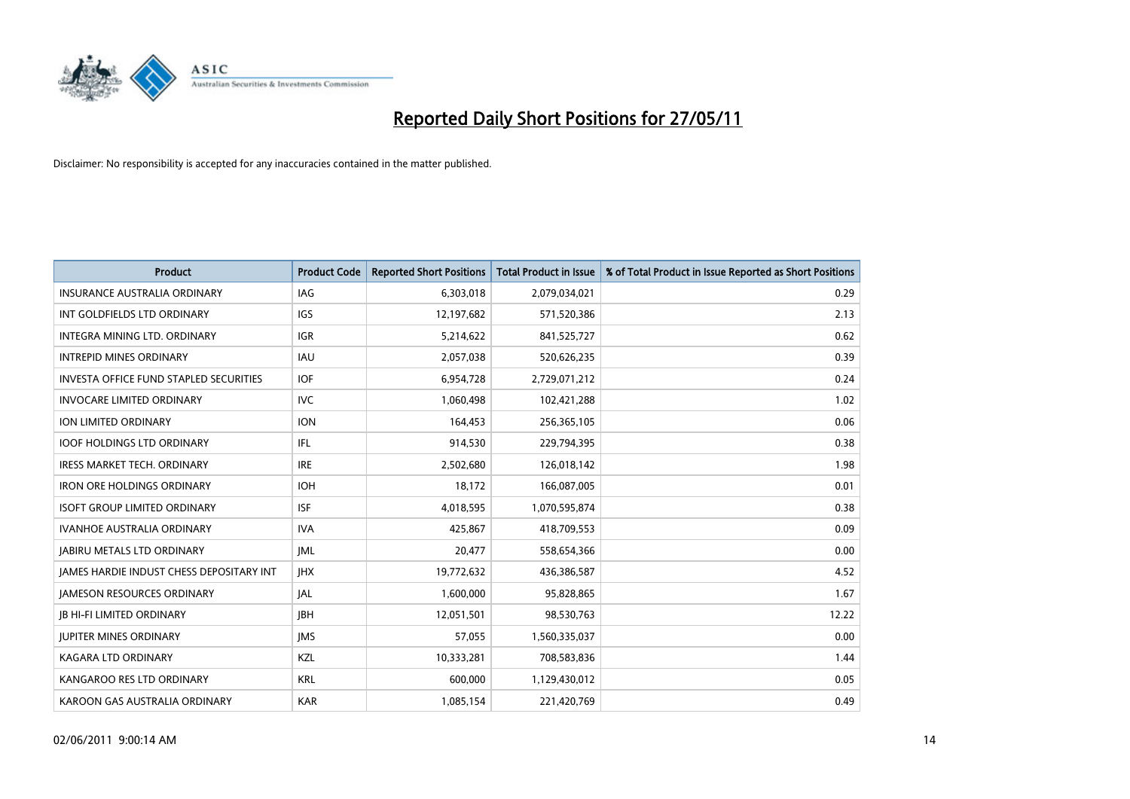

| <b>Product</b>                                  | <b>Product Code</b> | <b>Reported Short Positions</b> | <b>Total Product in Issue</b> | % of Total Product in Issue Reported as Short Positions |
|-------------------------------------------------|---------------------|---------------------------------|-------------------------------|---------------------------------------------------------|
| <b>INSURANCE AUSTRALIA ORDINARY</b>             | <b>IAG</b>          | 6,303,018                       | 2,079,034,021                 | 0.29                                                    |
| INT GOLDFIELDS LTD ORDINARY                     | <b>IGS</b>          | 12,197,682                      | 571,520,386                   | 2.13                                                    |
| <b>INTEGRA MINING LTD, ORDINARY</b>             | <b>IGR</b>          | 5,214,622                       | 841,525,727                   | 0.62                                                    |
| <b>INTREPID MINES ORDINARY</b>                  | <b>IAU</b>          | 2,057,038                       | 520,626,235                   | 0.39                                                    |
| <b>INVESTA OFFICE FUND STAPLED SECURITIES</b>   | <b>IOF</b>          | 6,954,728                       | 2,729,071,212                 | 0.24                                                    |
| <b>INVOCARE LIMITED ORDINARY</b>                | <b>IVC</b>          | 1,060,498                       | 102,421,288                   | 1.02                                                    |
| ION LIMITED ORDINARY                            | <b>ION</b>          | 164,453                         | 256,365,105                   | 0.06                                                    |
| <b>IOOF HOLDINGS LTD ORDINARY</b>               | IFL.                | 914,530                         | 229,794,395                   | 0.38                                                    |
| <b>IRESS MARKET TECH. ORDINARY</b>              | <b>IRE</b>          | 2,502,680                       | 126,018,142                   | 1.98                                                    |
| <b>IRON ORE HOLDINGS ORDINARY</b>               | <b>IOH</b>          | 18,172                          | 166,087,005                   | 0.01                                                    |
| <b>ISOFT GROUP LIMITED ORDINARY</b>             | <b>ISF</b>          | 4,018,595                       | 1,070,595,874                 | 0.38                                                    |
| <b>IVANHOE AUSTRALIA ORDINARY</b>               | <b>IVA</b>          | 425,867                         | 418,709,553                   | 0.09                                                    |
| <b>JABIRU METALS LTD ORDINARY</b>               | <b>IML</b>          | 20,477                          | 558,654,366                   | 0.00                                                    |
| <b>JAMES HARDIE INDUST CHESS DEPOSITARY INT</b> | <b>IHX</b>          | 19,772,632                      | 436,386,587                   | 4.52                                                    |
| <b>JAMESON RESOURCES ORDINARY</b>               | JAL                 | 1,600,000                       | 95,828,865                    | 1.67                                                    |
| <b>JB HI-FI LIMITED ORDINARY</b>                | <b>IBH</b>          | 12,051,501                      | 98,530,763                    | 12.22                                                   |
| <b>JUPITER MINES ORDINARY</b>                   | <b>IMS</b>          | 57,055                          | 1,560,335,037                 | 0.00                                                    |
| KAGARA LTD ORDINARY                             | KZL                 | 10,333,281                      | 708,583,836                   | 1.44                                                    |
| KANGAROO RES LTD ORDINARY                       | <b>KRL</b>          | 600,000                         | 1,129,430,012                 | 0.05                                                    |
| KAROON GAS AUSTRALIA ORDINARY                   | <b>KAR</b>          | 1,085,154                       | 221,420,769                   | 0.49                                                    |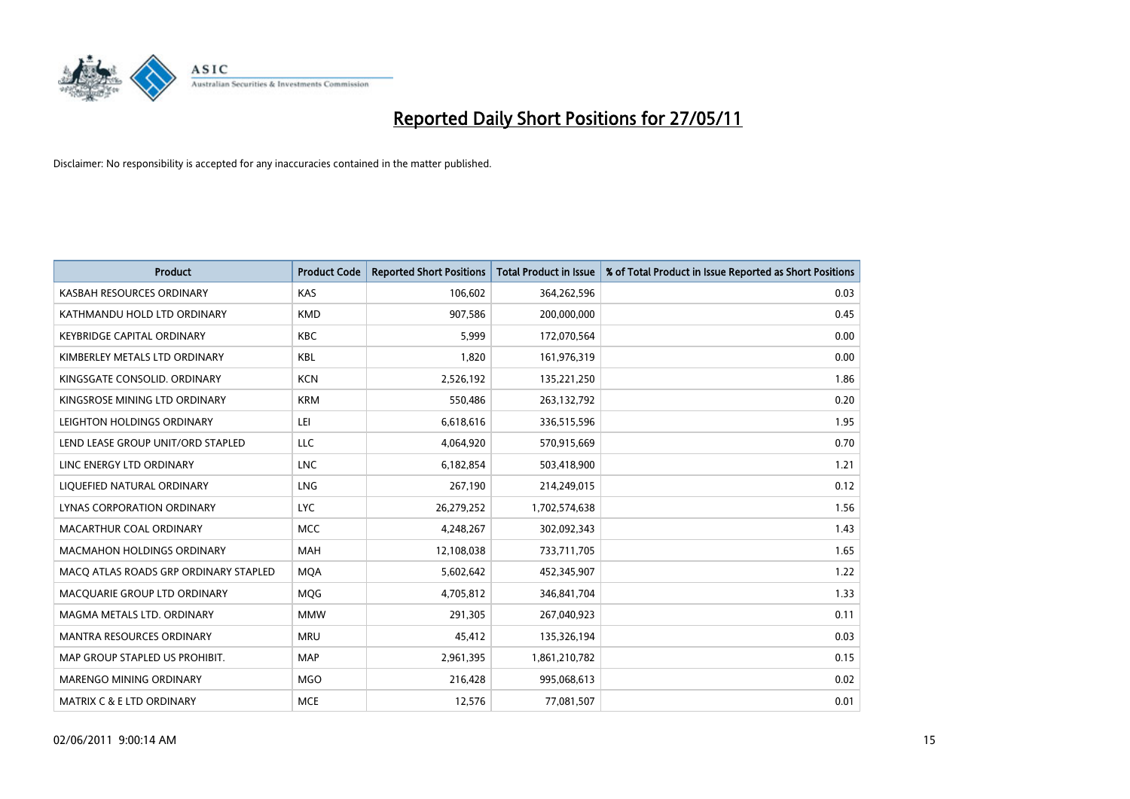

| <b>Product</b>                        | <b>Product Code</b> | <b>Reported Short Positions</b> | Total Product in Issue | % of Total Product in Issue Reported as Short Positions |
|---------------------------------------|---------------------|---------------------------------|------------------------|---------------------------------------------------------|
| KASBAH RESOURCES ORDINARY             | <b>KAS</b>          | 106,602                         | 364,262,596            | 0.03                                                    |
| KATHMANDU HOLD LTD ORDINARY           | <b>KMD</b>          | 907.586                         | 200,000,000            | 0.45                                                    |
| <b>KEYBRIDGE CAPITAL ORDINARY</b>     | <b>KBC</b>          | 5,999                           | 172,070,564            | 0.00                                                    |
| KIMBERLEY METALS LTD ORDINARY         | <b>KBL</b>          | 1,820                           | 161,976,319            | 0.00                                                    |
| KINGSGATE CONSOLID, ORDINARY          | <b>KCN</b>          | 2,526,192                       | 135,221,250            | 1.86                                                    |
| KINGSROSE MINING LTD ORDINARY         | <b>KRM</b>          | 550,486                         | 263,132,792            | 0.20                                                    |
| LEIGHTON HOLDINGS ORDINARY            | LEI                 | 6,618,616                       | 336,515,596            | 1.95                                                    |
| LEND LEASE GROUP UNIT/ORD STAPLED     | LLC                 | 4,064,920                       | 570,915,669            | 0.70                                                    |
| LINC ENERGY LTD ORDINARY              | <b>LNC</b>          | 6,182,854                       | 503,418,900            | 1.21                                                    |
| LIOUEFIED NATURAL ORDINARY            | <b>LNG</b>          | 267,190                         | 214,249,015            | 0.12                                                    |
| LYNAS CORPORATION ORDINARY            | <b>LYC</b>          | 26,279,252                      | 1,702,574,638          | 1.56                                                    |
| MACARTHUR COAL ORDINARY               | <b>MCC</b>          | 4,248,267                       | 302,092,343            | 1.43                                                    |
| <b>MACMAHON HOLDINGS ORDINARY</b>     | <b>MAH</b>          | 12,108,038                      | 733,711,705            | 1.65                                                    |
| MACO ATLAS ROADS GRP ORDINARY STAPLED | <b>MOA</b>          | 5,602,642                       | 452,345,907            | 1.22                                                    |
| MACQUARIE GROUP LTD ORDINARY          | MQG                 | 4,705,812                       | 346,841,704            | 1.33                                                    |
| MAGMA METALS LTD. ORDINARY            | <b>MMW</b>          | 291,305                         | 267,040,923            | 0.11                                                    |
| <b>MANTRA RESOURCES ORDINARY</b>      | <b>MRU</b>          | 45,412                          | 135,326,194            | 0.03                                                    |
| MAP GROUP STAPLED US PROHIBIT.        | <b>MAP</b>          | 2,961,395                       | 1,861,210,782          | 0.15                                                    |
| MARENGO MINING ORDINARY               | <b>MGO</b>          | 216,428                         | 995,068,613            | 0.02                                                    |
| <b>MATRIX C &amp; E LTD ORDINARY</b>  | <b>MCE</b>          | 12,576                          | 77,081,507             | 0.01                                                    |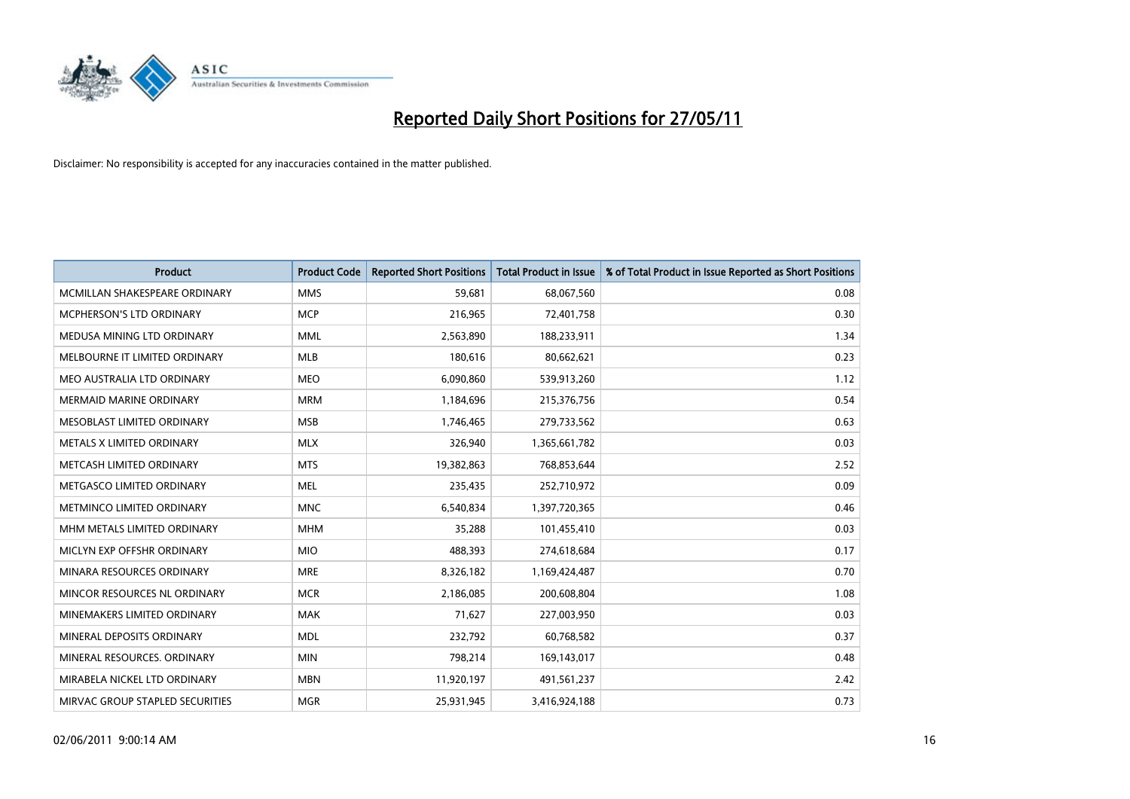

| <b>Product</b>                  | <b>Product Code</b> | <b>Reported Short Positions</b> | <b>Total Product in Issue</b> | % of Total Product in Issue Reported as Short Positions |
|---------------------------------|---------------------|---------------------------------|-------------------------------|---------------------------------------------------------|
| MCMILLAN SHAKESPEARE ORDINARY   | <b>MMS</b>          | 59,681                          | 68,067,560                    | 0.08                                                    |
| MCPHERSON'S LTD ORDINARY        | <b>MCP</b>          | 216,965                         | 72,401,758                    | 0.30                                                    |
| MEDUSA MINING LTD ORDINARY      | <b>MML</b>          | 2,563,890                       | 188,233,911                   | 1.34                                                    |
| MELBOURNE IT LIMITED ORDINARY   | <b>MLB</b>          | 180,616                         | 80,662,621                    | 0.23                                                    |
| MEO AUSTRALIA LTD ORDINARY      | <b>MEO</b>          | 6,090,860                       | 539,913,260                   | 1.12                                                    |
| <b>MERMAID MARINE ORDINARY</b>  | <b>MRM</b>          | 1,184,696                       | 215,376,756                   | 0.54                                                    |
| MESOBLAST LIMITED ORDINARY      | <b>MSB</b>          | 1,746,465                       | 279,733,562                   | 0.63                                                    |
| METALS X LIMITED ORDINARY       | <b>MLX</b>          | 326,940                         | 1,365,661,782                 | 0.03                                                    |
| METCASH LIMITED ORDINARY        | <b>MTS</b>          | 19,382,863                      | 768,853,644                   | 2.52                                                    |
| METGASCO LIMITED ORDINARY       | <b>MEL</b>          | 235,435                         | 252,710,972                   | 0.09                                                    |
| METMINCO LIMITED ORDINARY       | <b>MNC</b>          | 6,540,834                       | 1,397,720,365                 | 0.46                                                    |
| MHM METALS LIMITED ORDINARY     | <b>MHM</b>          | 35,288                          | 101,455,410                   | 0.03                                                    |
| MICLYN EXP OFFSHR ORDINARY      | <b>MIO</b>          | 488,393                         | 274,618,684                   | 0.17                                                    |
| MINARA RESOURCES ORDINARY       | <b>MRE</b>          | 8,326,182                       | 1,169,424,487                 | 0.70                                                    |
| MINCOR RESOURCES NL ORDINARY    | <b>MCR</b>          | 2,186,085                       | 200,608,804                   | 1.08                                                    |
| MINEMAKERS LIMITED ORDINARY     | <b>MAK</b>          | 71,627                          | 227,003,950                   | 0.03                                                    |
| MINERAL DEPOSITS ORDINARY       | <b>MDL</b>          | 232,792                         | 60,768,582                    | 0.37                                                    |
| MINERAL RESOURCES. ORDINARY     | <b>MIN</b>          | 798,214                         | 169,143,017                   | 0.48                                                    |
| MIRABELA NICKEL LTD ORDINARY    | <b>MBN</b>          | 11,920,197                      | 491,561,237                   | 2.42                                                    |
| MIRVAC GROUP STAPLED SECURITIES | <b>MGR</b>          | 25,931,945                      | 3,416,924,188                 | 0.73                                                    |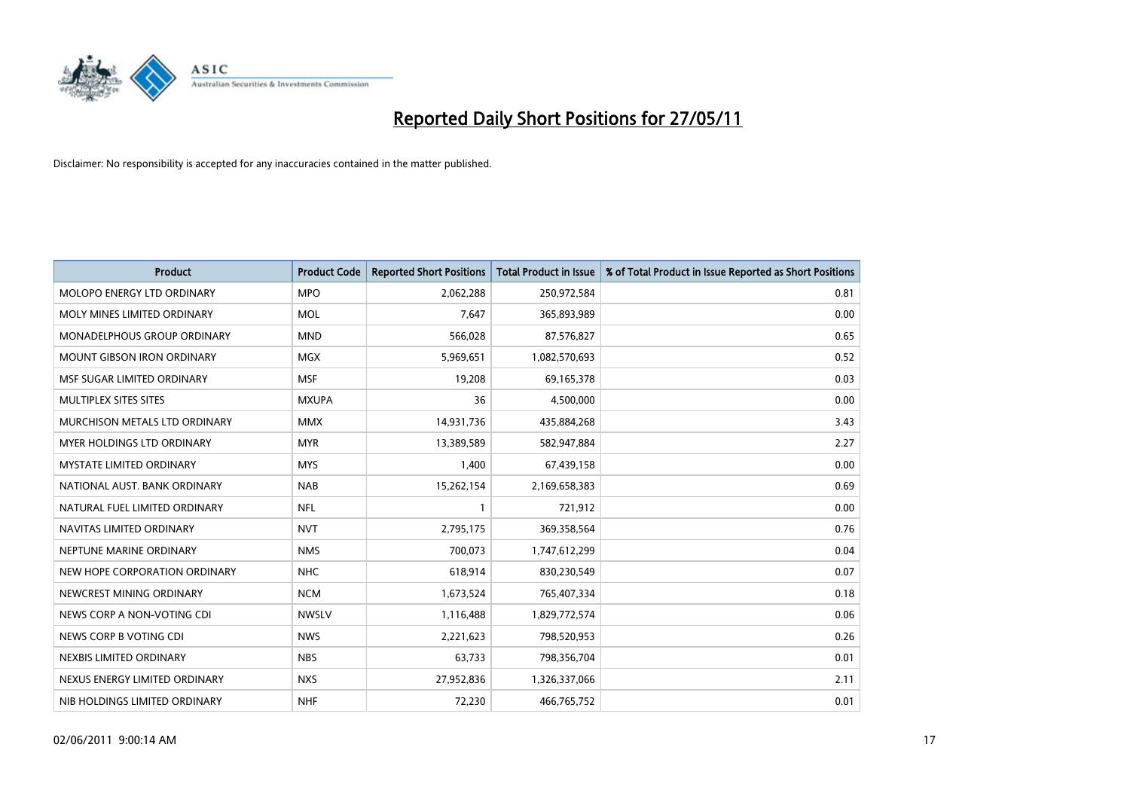

| <b>Product</b>                       | <b>Product Code</b> | <b>Reported Short Positions</b> | <b>Total Product in Issue</b> | % of Total Product in Issue Reported as Short Positions |
|--------------------------------------|---------------------|---------------------------------|-------------------------------|---------------------------------------------------------|
| <b>MOLOPO ENERGY LTD ORDINARY</b>    | <b>MPO</b>          | 2,062,288                       | 250,972,584                   | 0.81                                                    |
| MOLY MINES LIMITED ORDINARY          | <b>MOL</b>          | 7,647                           | 365,893,989                   | 0.00                                                    |
| MONADELPHOUS GROUP ORDINARY          | <b>MND</b>          | 566,028                         | 87,576,827                    | 0.65                                                    |
| <b>MOUNT GIBSON IRON ORDINARY</b>    | <b>MGX</b>          | 5,969,651                       | 1,082,570,693                 | 0.52                                                    |
| MSF SUGAR LIMITED ORDINARY           | <b>MSF</b>          | 19,208                          | 69,165,378                    | 0.03                                                    |
| MULTIPLEX SITES SITES                | <b>MXUPA</b>        | 36                              | 4,500,000                     | 0.00                                                    |
| <b>MURCHISON METALS LTD ORDINARY</b> | <b>MMX</b>          | 14,931,736                      | 435,884,268                   | 3.43                                                    |
| <b>MYER HOLDINGS LTD ORDINARY</b>    | <b>MYR</b>          | 13,389,589                      | 582,947,884                   | 2.27                                                    |
| <b>MYSTATE LIMITED ORDINARY</b>      | <b>MYS</b>          | 1,400                           | 67,439,158                    | 0.00                                                    |
| NATIONAL AUST. BANK ORDINARY         | <b>NAB</b>          | 15,262,154                      | 2,169,658,383                 | 0.69                                                    |
| NATURAL FUEL LIMITED ORDINARY        | <b>NFL</b>          |                                 | 721,912                       | 0.00                                                    |
| NAVITAS LIMITED ORDINARY             | <b>NVT</b>          | 2,795,175                       | 369,358,564                   | 0.76                                                    |
| NEPTUNE MARINE ORDINARY              | <b>NMS</b>          | 700,073                         | 1,747,612,299                 | 0.04                                                    |
| NEW HOPE CORPORATION ORDINARY        | <b>NHC</b>          | 618,914                         | 830,230,549                   | 0.07                                                    |
| NEWCREST MINING ORDINARY             | <b>NCM</b>          | 1,673,524                       | 765,407,334                   | 0.18                                                    |
| NEWS CORP A NON-VOTING CDI           | <b>NWSLV</b>        | 1,116,488                       | 1,829,772,574                 | 0.06                                                    |
| NEWS CORP B VOTING CDI               | <b>NWS</b>          | 2,221,623                       | 798,520,953                   | 0.26                                                    |
| NEXBIS LIMITED ORDINARY              | <b>NBS</b>          | 63,733                          | 798,356,704                   | 0.01                                                    |
| NEXUS ENERGY LIMITED ORDINARY        | <b>NXS</b>          | 27,952,836                      | 1,326,337,066                 | 2.11                                                    |
| NIB HOLDINGS LIMITED ORDINARY        | <b>NHF</b>          | 72,230                          | 466,765,752                   | 0.01                                                    |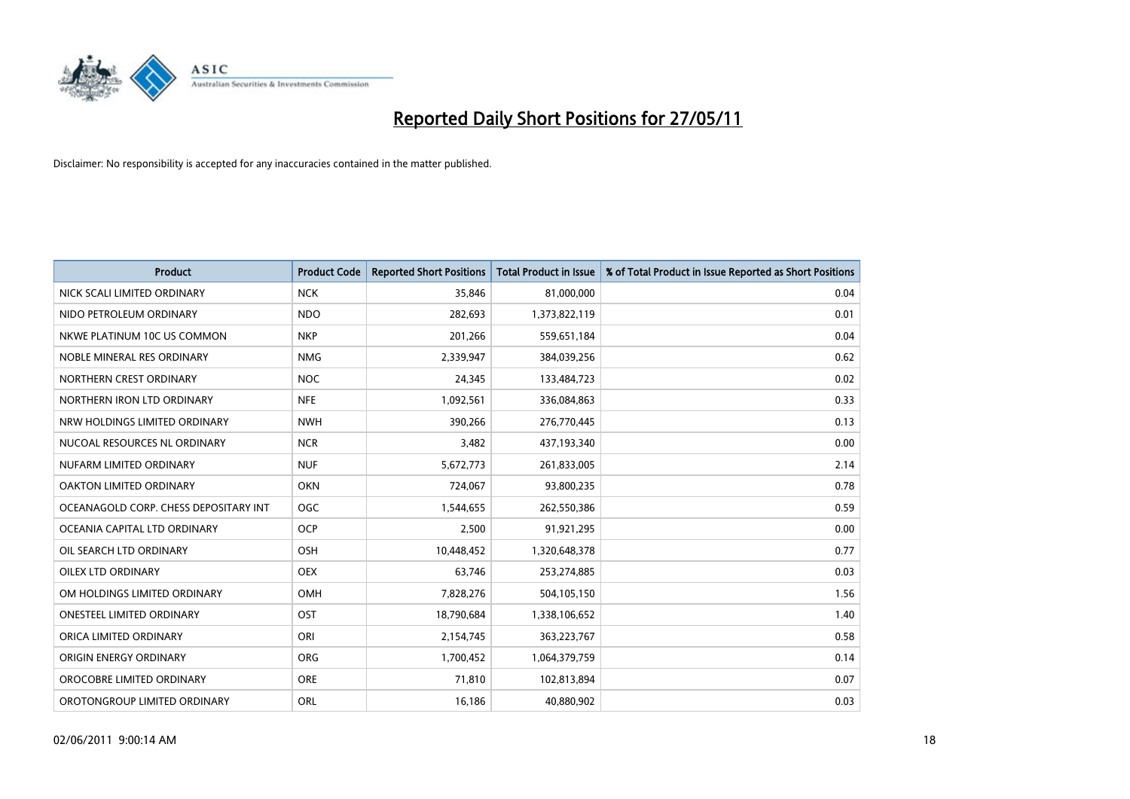

| <b>Product</b>                        | <b>Product Code</b> | <b>Reported Short Positions</b> | Total Product in Issue | % of Total Product in Issue Reported as Short Positions |
|---------------------------------------|---------------------|---------------------------------|------------------------|---------------------------------------------------------|
| NICK SCALI LIMITED ORDINARY           | <b>NCK</b>          | 35,846                          | 81,000,000             | 0.04                                                    |
| NIDO PETROLEUM ORDINARY               | <b>NDO</b>          | 282,693                         | 1,373,822,119          | 0.01                                                    |
| NKWE PLATINUM 10C US COMMON           | <b>NKP</b>          | 201,266                         | 559,651,184            | 0.04                                                    |
| NOBLE MINERAL RES ORDINARY            | <b>NMG</b>          | 2,339,947                       | 384,039,256            | 0.62                                                    |
| NORTHERN CREST ORDINARY               | <b>NOC</b>          | 24,345                          | 133,484,723            | 0.02                                                    |
| NORTHERN IRON LTD ORDINARY            | <b>NFE</b>          | 1,092,561                       | 336,084,863            | 0.33                                                    |
| NRW HOLDINGS LIMITED ORDINARY         | <b>NWH</b>          | 390.266                         | 276,770,445            | 0.13                                                    |
| NUCOAL RESOURCES NL ORDINARY          | <b>NCR</b>          | 3,482                           | 437,193,340            | 0.00                                                    |
| NUFARM LIMITED ORDINARY               | <b>NUF</b>          | 5,672,773                       | 261,833,005            | 2.14                                                    |
| <b>OAKTON LIMITED ORDINARY</b>        | <b>OKN</b>          | 724,067                         | 93,800,235             | 0.78                                                    |
| OCEANAGOLD CORP. CHESS DEPOSITARY INT | <b>OGC</b>          | 1,544,655                       | 262,550,386            | 0.59                                                    |
| OCEANIA CAPITAL LTD ORDINARY          | <b>OCP</b>          | 2,500                           | 91,921,295             | 0.00                                                    |
| OIL SEARCH LTD ORDINARY               | OSH                 | 10,448,452                      | 1,320,648,378          | 0.77                                                    |
| OILEX LTD ORDINARY                    | <b>OEX</b>          | 63,746                          | 253,274,885            | 0.03                                                    |
| OM HOLDINGS LIMITED ORDINARY          | OMH                 | 7,828,276                       | 504,105,150            | 1.56                                                    |
| ONESTEEL LIMITED ORDINARY             | OST                 | 18,790,684                      | 1,338,106,652          | 1.40                                                    |
| ORICA LIMITED ORDINARY                | ORI                 | 2,154,745                       | 363,223,767            | 0.58                                                    |
| ORIGIN ENERGY ORDINARY                | <b>ORG</b>          | 1,700,452                       | 1,064,379,759          | 0.14                                                    |
| OROCOBRE LIMITED ORDINARY             | <b>ORE</b>          | 71,810                          | 102,813,894            | 0.07                                                    |
| OROTONGROUP LIMITED ORDINARY          | ORL                 | 16,186                          | 40,880,902             | 0.03                                                    |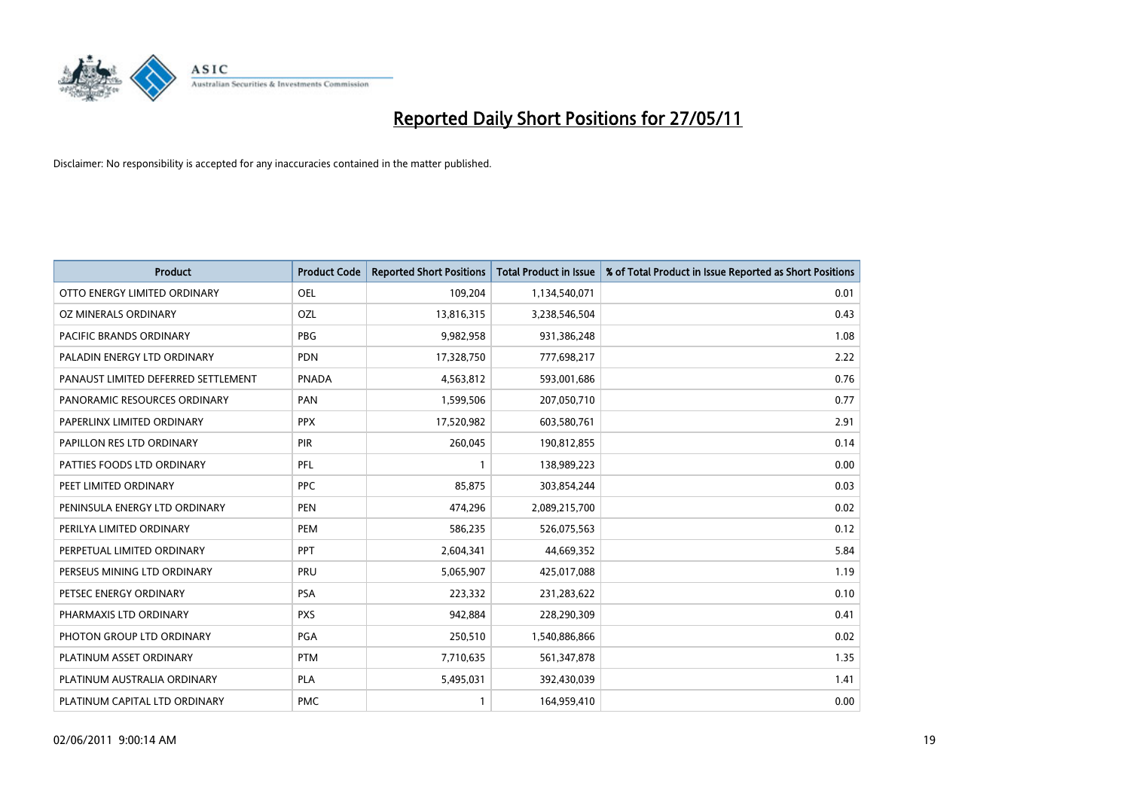

| <b>Product</b>                      | <b>Product Code</b> | <b>Reported Short Positions</b> | <b>Total Product in Issue</b> | % of Total Product in Issue Reported as Short Positions |
|-------------------------------------|---------------------|---------------------------------|-------------------------------|---------------------------------------------------------|
| OTTO ENERGY LIMITED ORDINARY        | <b>OEL</b>          | 109,204                         | 1,134,540,071                 | 0.01                                                    |
| OZ MINERALS ORDINARY                | OZL                 | 13,816,315                      | 3,238,546,504                 | 0.43                                                    |
| PACIFIC BRANDS ORDINARY             | <b>PBG</b>          | 9,982,958                       | 931,386,248                   | 1.08                                                    |
| PALADIN ENERGY LTD ORDINARY         | <b>PDN</b>          | 17,328,750                      | 777,698,217                   | 2.22                                                    |
| PANAUST LIMITED DEFERRED SETTLEMENT | <b>PNADA</b>        | 4,563,812                       | 593,001,686                   | 0.76                                                    |
| PANORAMIC RESOURCES ORDINARY        | PAN                 | 1,599,506                       | 207,050,710                   | 0.77                                                    |
| PAPERLINX LIMITED ORDINARY          | <b>PPX</b>          | 17,520,982                      | 603,580,761                   | 2.91                                                    |
| PAPILLON RES LTD ORDINARY           | PIR                 | 260,045                         | 190,812,855                   | 0.14                                                    |
| PATTIES FOODS LTD ORDINARY          | PFL                 |                                 | 138,989,223                   | 0.00                                                    |
| PEET LIMITED ORDINARY               | <b>PPC</b>          | 85,875                          | 303,854,244                   | 0.03                                                    |
| PENINSULA ENERGY LTD ORDINARY       | <b>PEN</b>          | 474,296                         | 2,089,215,700                 | 0.02                                                    |
| PERILYA LIMITED ORDINARY            | PEM                 | 586,235                         | 526,075,563                   | 0.12                                                    |
| PERPETUAL LIMITED ORDINARY          | PPT                 | 2,604,341                       | 44,669,352                    | 5.84                                                    |
| PERSEUS MINING LTD ORDINARY         | PRU                 | 5,065,907                       | 425,017,088                   | 1.19                                                    |
| PETSEC ENERGY ORDINARY              | <b>PSA</b>          | 223,332                         | 231,283,622                   | 0.10                                                    |
| PHARMAXIS LTD ORDINARY              | <b>PXS</b>          | 942,884                         | 228,290,309                   | 0.41                                                    |
| PHOTON GROUP LTD ORDINARY           | PGA                 | 250,510                         | 1,540,886,866                 | 0.02                                                    |
| PLATINUM ASSET ORDINARY             | <b>PTM</b>          | 7,710,635                       | 561,347,878                   | 1.35                                                    |
| PLATINUM AUSTRALIA ORDINARY         | <b>PLA</b>          | 5,495,031                       | 392,430,039                   | 1.41                                                    |
| PLATINUM CAPITAL LTD ORDINARY       | <b>PMC</b>          |                                 | 164,959,410                   | 0.00                                                    |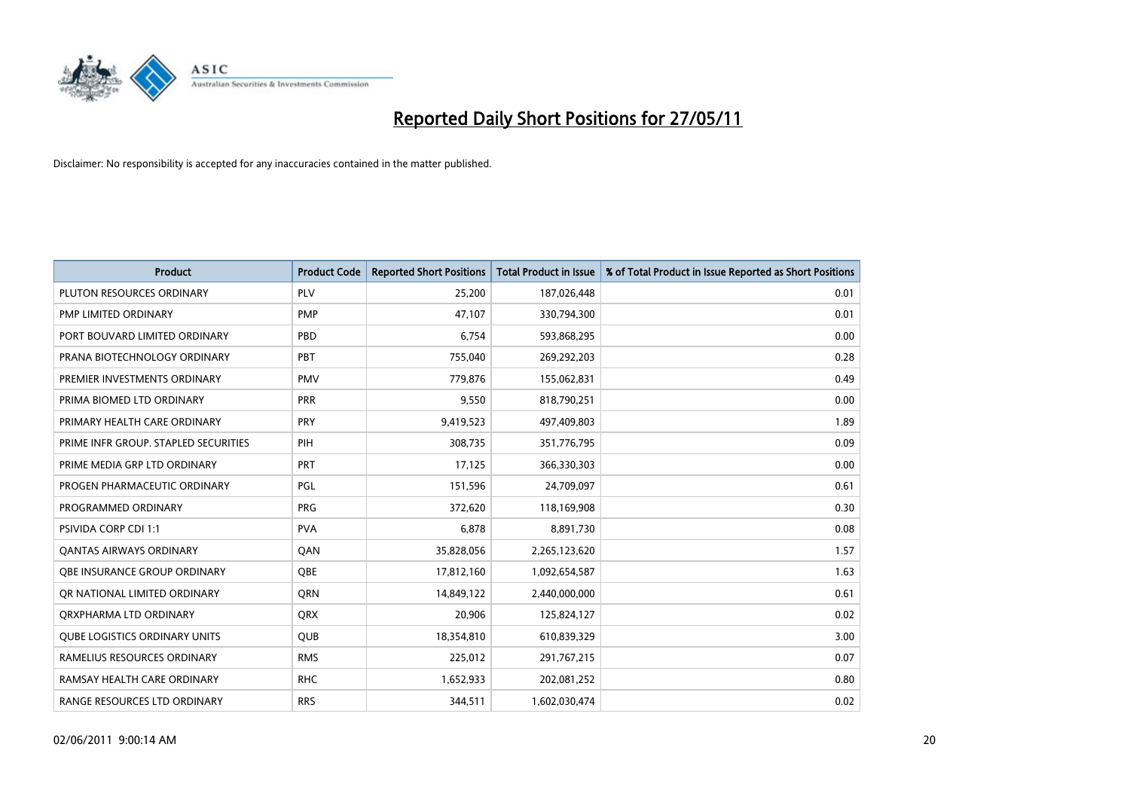

| <b>Product</b>                       | <b>Product Code</b> | <b>Reported Short Positions</b> | Total Product in Issue | % of Total Product in Issue Reported as Short Positions |
|--------------------------------------|---------------------|---------------------------------|------------------------|---------------------------------------------------------|
| PLUTON RESOURCES ORDINARY            | <b>PLV</b>          | 25,200                          | 187,026,448            | 0.01                                                    |
| <b>PMP LIMITED ORDINARY</b>          | <b>PMP</b>          | 47,107                          | 330,794,300            | 0.01                                                    |
| PORT BOUVARD LIMITED ORDINARY        | PBD                 | 6,754                           | 593,868,295            | 0.00                                                    |
| PRANA BIOTECHNOLOGY ORDINARY         | PBT                 | 755,040                         | 269,292,203            | 0.28                                                    |
| PREMIER INVESTMENTS ORDINARY         | <b>PMV</b>          | 779.876                         | 155,062,831            | 0.49                                                    |
| PRIMA BIOMED LTD ORDINARY            | <b>PRR</b>          | 9,550                           | 818,790,251            | 0.00                                                    |
| PRIMARY HEALTH CARE ORDINARY         | PRY                 | 9,419,523                       | 497,409,803            | 1.89                                                    |
| PRIME INFR GROUP. STAPLED SECURITIES | PIH                 | 308,735                         | 351,776,795            | 0.09                                                    |
| PRIME MEDIA GRP LTD ORDINARY         | <b>PRT</b>          | 17,125                          | 366,330,303            | 0.00                                                    |
| PROGEN PHARMACEUTIC ORDINARY         | <b>PGL</b>          | 151,596                         | 24,709,097             | 0.61                                                    |
| PROGRAMMED ORDINARY                  | PRG                 | 372,620                         | 118,169,908            | 0.30                                                    |
| <b>PSIVIDA CORP CDI 1:1</b>          | <b>PVA</b>          | 6,878                           | 8,891,730              | 0.08                                                    |
| OANTAS AIRWAYS ORDINARY              | QAN                 | 35,828,056                      | 2,265,123,620          | 1.57                                                    |
| OBE INSURANCE GROUP ORDINARY         | OBE                 | 17,812,160                      | 1,092,654,587          | 1.63                                                    |
| OR NATIONAL LIMITED ORDINARY         | <b>ORN</b>          | 14,849,122                      | 2,440,000,000          | 0.61                                                    |
| ORXPHARMA LTD ORDINARY               | <b>ORX</b>          | 20,906                          | 125,824,127            | 0.02                                                    |
| <b>QUBE LOGISTICS ORDINARY UNITS</b> | <b>QUB</b>          | 18,354,810                      | 610,839,329            | 3.00                                                    |
| RAMELIUS RESOURCES ORDINARY          | <b>RMS</b>          | 225,012                         | 291,767,215            | 0.07                                                    |
| RAMSAY HEALTH CARE ORDINARY          | <b>RHC</b>          | 1,652,933                       | 202,081,252            | 0.80                                                    |
| RANGE RESOURCES LTD ORDINARY         | <b>RRS</b>          | 344.511                         | 1,602,030,474          | 0.02                                                    |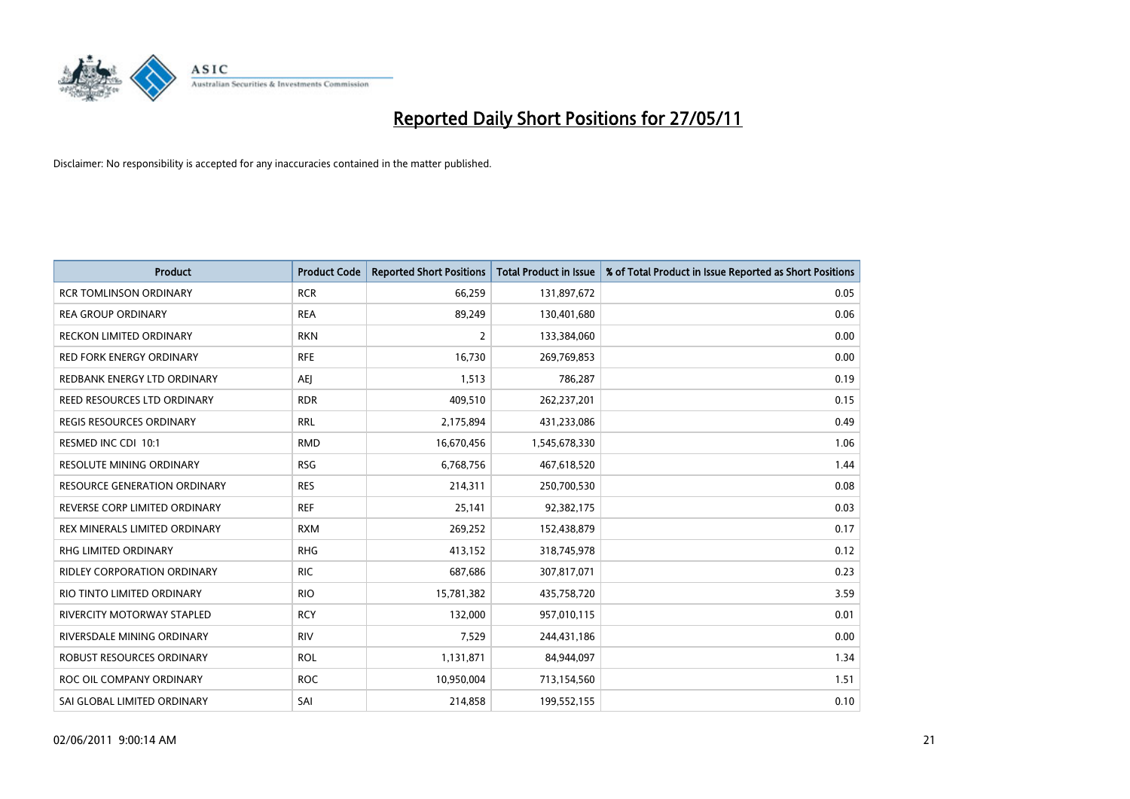

| <b>Product</b>                      | <b>Product Code</b> | <b>Reported Short Positions</b> | <b>Total Product in Issue</b> | % of Total Product in Issue Reported as Short Positions |
|-------------------------------------|---------------------|---------------------------------|-------------------------------|---------------------------------------------------------|
| <b>RCR TOMLINSON ORDINARY</b>       | <b>RCR</b>          | 66,259                          | 131,897,672                   | 0.05                                                    |
| <b>REA GROUP ORDINARY</b>           | <b>REA</b>          | 89,249                          | 130,401,680                   | 0.06                                                    |
| RECKON LIMITED ORDINARY             | <b>RKN</b>          | $\overline{2}$                  | 133,384,060                   | 0.00                                                    |
| RED FORK ENERGY ORDINARY            | <b>RFE</b>          | 16,730                          | 269,769,853                   | 0.00                                                    |
| REDBANK ENERGY LTD ORDINARY         | <b>AEI</b>          | 1,513                           | 786,287                       | 0.19                                                    |
| REED RESOURCES LTD ORDINARY         | <b>RDR</b>          | 409,510                         | 262,237,201                   | 0.15                                                    |
| REGIS RESOURCES ORDINARY            | <b>RRL</b>          | 2,175,894                       | 431,233,086                   | 0.49                                                    |
| RESMED INC CDI 10:1                 | <b>RMD</b>          | 16,670,456                      | 1,545,678,330                 | 1.06                                                    |
| <b>RESOLUTE MINING ORDINARY</b>     | <b>RSG</b>          | 6,768,756                       | 467,618,520                   | 1.44                                                    |
| <b>RESOURCE GENERATION ORDINARY</b> | <b>RES</b>          | 214,311                         | 250,700,530                   | 0.08                                                    |
| REVERSE CORP LIMITED ORDINARY       | <b>REF</b>          | 25,141                          | 92,382,175                    | 0.03                                                    |
| REX MINERALS LIMITED ORDINARY       | <b>RXM</b>          | 269,252                         | 152,438,879                   | 0.17                                                    |
| <b>RHG LIMITED ORDINARY</b>         | <b>RHG</b>          | 413,152                         | 318,745,978                   | 0.12                                                    |
| <b>RIDLEY CORPORATION ORDINARY</b>  | <b>RIC</b>          | 687,686                         | 307,817,071                   | 0.23                                                    |
| RIO TINTO LIMITED ORDINARY          | <b>RIO</b>          | 15,781,382                      | 435,758,720                   | 3.59                                                    |
| RIVERCITY MOTORWAY STAPLED          | <b>RCY</b>          | 132,000                         | 957,010,115                   | 0.01                                                    |
| RIVERSDALE MINING ORDINARY          | <b>RIV</b>          | 7,529                           | 244,431,186                   | 0.00                                                    |
| ROBUST RESOURCES ORDINARY           | <b>ROL</b>          | 1,131,871                       | 84,944,097                    | 1.34                                                    |
| ROC OIL COMPANY ORDINARY            | <b>ROC</b>          | 10,950,004                      | 713,154,560                   | 1.51                                                    |
| SAI GLOBAL LIMITED ORDINARY         | SAI                 | 214,858                         | 199,552,155                   | 0.10                                                    |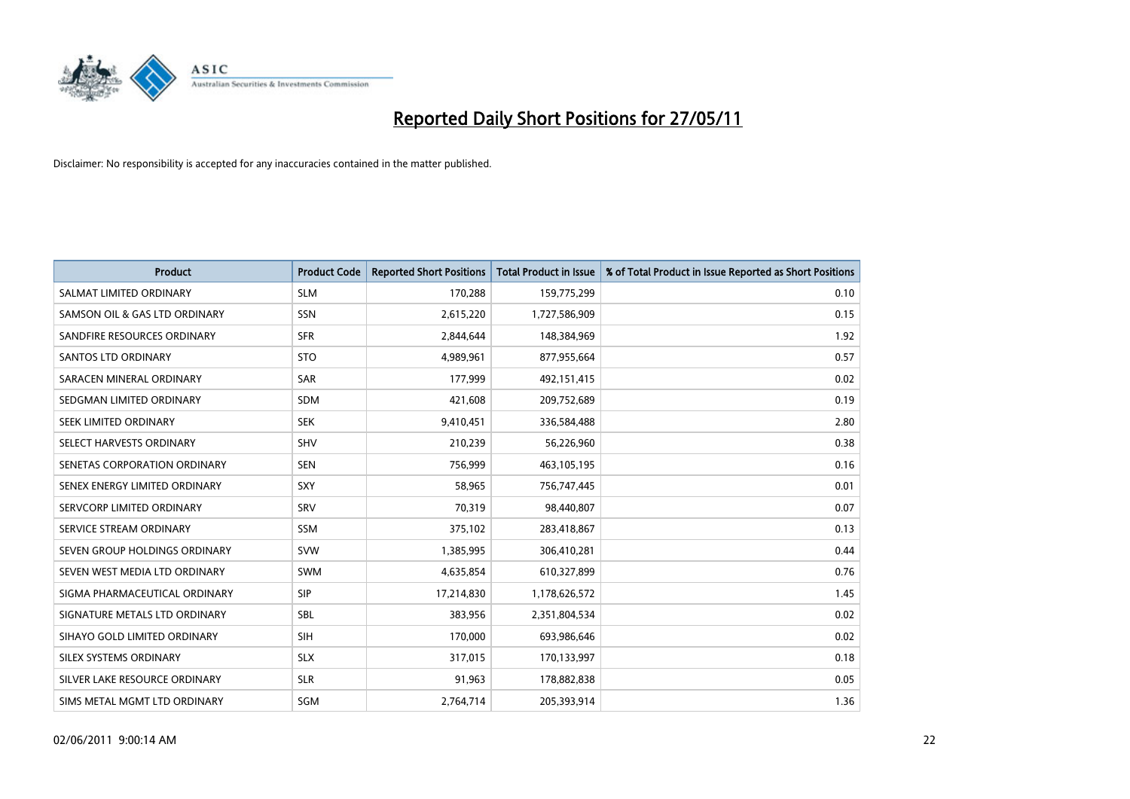

| <b>Product</b>                | <b>Product Code</b> | <b>Reported Short Positions</b> | <b>Total Product in Issue</b> | % of Total Product in Issue Reported as Short Positions |
|-------------------------------|---------------------|---------------------------------|-------------------------------|---------------------------------------------------------|
| SALMAT LIMITED ORDINARY       | <b>SLM</b>          | 170,288                         | 159,775,299                   | 0.10                                                    |
| SAMSON OIL & GAS LTD ORDINARY | <b>SSN</b>          | 2,615,220                       | 1,727,586,909                 | 0.15                                                    |
| SANDFIRE RESOURCES ORDINARY   | <b>SFR</b>          | 2,844,644                       | 148,384,969                   | 1.92                                                    |
| <b>SANTOS LTD ORDINARY</b>    | <b>STO</b>          | 4,989,961                       | 877,955,664                   | 0.57                                                    |
| SARACEN MINERAL ORDINARY      | SAR                 | 177.999                         | 492,151,415                   | 0.02                                                    |
| SEDGMAN LIMITED ORDINARY      | <b>SDM</b>          | 421,608                         | 209,752,689                   | 0.19                                                    |
| SEEK LIMITED ORDINARY         | <b>SEK</b>          | 9,410,451                       | 336,584,488                   | 2.80                                                    |
| SELECT HARVESTS ORDINARY      | <b>SHV</b>          | 210,239                         | 56,226,960                    | 0.38                                                    |
| SENETAS CORPORATION ORDINARY  | <b>SEN</b>          | 756,999                         | 463,105,195                   | 0.16                                                    |
| SENEX ENERGY LIMITED ORDINARY | SXY                 | 58.965                          | 756,747,445                   | 0.01                                                    |
| SERVCORP LIMITED ORDINARY     | SRV                 | 70,319                          | 98,440,807                    | 0.07                                                    |
| SERVICE STREAM ORDINARY       | <b>SSM</b>          | 375,102                         | 283,418,867                   | 0.13                                                    |
| SEVEN GROUP HOLDINGS ORDINARY | <b>SVW</b>          | 1,385,995                       | 306,410,281                   | 0.44                                                    |
| SEVEN WEST MEDIA LTD ORDINARY | <b>SWM</b>          | 4,635,854                       | 610,327,899                   | 0.76                                                    |
| SIGMA PHARMACEUTICAL ORDINARY | SIP                 | 17,214,830                      | 1,178,626,572                 | 1.45                                                    |
| SIGNATURE METALS LTD ORDINARY | <b>SBL</b>          | 383,956                         | 2,351,804,534                 | 0.02                                                    |
| SIHAYO GOLD LIMITED ORDINARY  | <b>SIH</b>          | 170,000                         | 693,986,646                   | 0.02                                                    |
| SILEX SYSTEMS ORDINARY        | <b>SLX</b>          | 317,015                         | 170,133,997                   | 0.18                                                    |
| SILVER LAKE RESOURCE ORDINARY | <b>SLR</b>          | 91,963                          | 178,882,838                   | 0.05                                                    |
| SIMS METAL MGMT LTD ORDINARY  | <b>SGM</b>          | 2,764,714                       | 205,393,914                   | 1.36                                                    |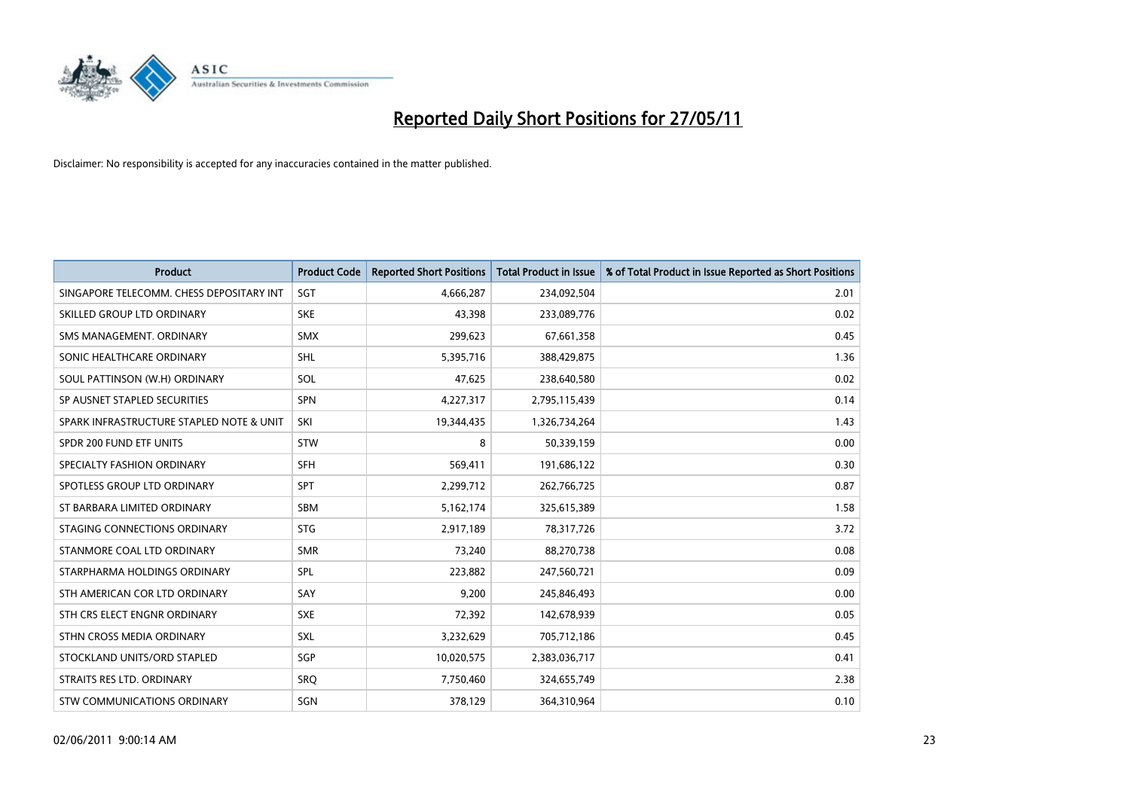

| <b>Product</b>                           | <b>Product Code</b> | <b>Reported Short Positions</b> | <b>Total Product in Issue</b> | % of Total Product in Issue Reported as Short Positions |
|------------------------------------------|---------------------|---------------------------------|-------------------------------|---------------------------------------------------------|
| SINGAPORE TELECOMM. CHESS DEPOSITARY INT | SGT                 | 4,666,287                       | 234,092,504                   | 2.01                                                    |
| SKILLED GROUP LTD ORDINARY               | <b>SKE</b>          | 43,398                          | 233,089,776                   | 0.02                                                    |
| SMS MANAGEMENT. ORDINARY                 | <b>SMX</b>          | 299,623                         | 67,661,358                    | 0.45                                                    |
| SONIC HEALTHCARE ORDINARY                | <b>SHL</b>          | 5,395,716                       | 388,429,875                   | 1.36                                                    |
| SOUL PATTINSON (W.H) ORDINARY            | SOL                 | 47,625                          | 238,640,580                   | 0.02                                                    |
| SP AUSNET STAPLED SECURITIES             | SPN                 | 4,227,317                       | 2,795,115,439                 | 0.14                                                    |
| SPARK INFRASTRUCTURE STAPLED NOTE & UNIT | SKI                 | 19,344,435                      | 1,326,734,264                 | 1.43                                                    |
| SPDR 200 FUND ETF UNITS                  | <b>STW</b>          | 8                               | 50,339,159                    | 0.00                                                    |
| SPECIALTY FASHION ORDINARY               | <b>SFH</b>          | 569,411                         | 191,686,122                   | 0.30                                                    |
| SPOTLESS GROUP LTD ORDINARY              | <b>SPT</b>          | 2,299,712                       | 262,766,725                   | 0.87                                                    |
| ST BARBARA LIMITED ORDINARY              | SBM                 | 5,162,174                       | 325,615,389                   | 1.58                                                    |
| STAGING CONNECTIONS ORDINARY             | <b>STG</b>          | 2,917,189                       | 78,317,726                    | 3.72                                                    |
| STANMORE COAL LTD ORDINARY               | <b>SMR</b>          | 73,240                          | 88,270,738                    | 0.08                                                    |
| STARPHARMA HOLDINGS ORDINARY             | SPL                 | 223,882                         | 247,560,721                   | 0.09                                                    |
| STH AMERICAN COR LTD ORDINARY            | SAY                 | 9,200                           | 245,846,493                   | 0.00                                                    |
| STH CRS ELECT ENGNR ORDINARY             | <b>SXE</b>          | 72,392                          | 142,678,939                   | 0.05                                                    |
| STHN CROSS MEDIA ORDINARY                | <b>SXL</b>          | 3,232,629                       | 705,712,186                   | 0.45                                                    |
| STOCKLAND UNITS/ORD STAPLED              | <b>SGP</b>          | 10,020,575                      | 2,383,036,717                 | 0.41                                                    |
| STRAITS RES LTD. ORDINARY                | <b>SRO</b>          | 7,750,460                       | 324,655,749                   | 2.38                                                    |
| STW COMMUNICATIONS ORDINARY              | SGN                 | 378,129                         | 364,310,964                   | 0.10                                                    |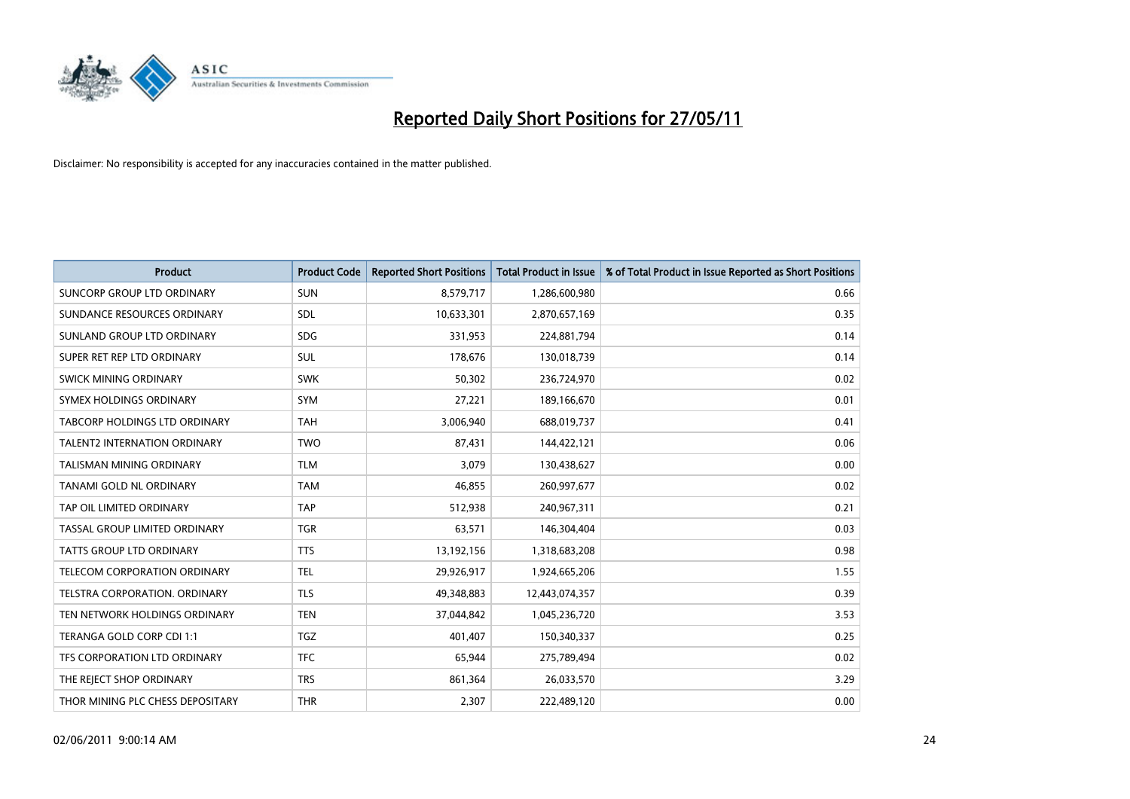

| <b>Product</b>                      | <b>Product Code</b> | <b>Reported Short Positions</b> | <b>Total Product in Issue</b> | % of Total Product in Issue Reported as Short Positions |
|-------------------------------------|---------------------|---------------------------------|-------------------------------|---------------------------------------------------------|
| SUNCORP GROUP LTD ORDINARY          | <b>SUN</b>          | 8,579,717                       | 1,286,600,980                 | 0.66                                                    |
| SUNDANCE RESOURCES ORDINARY         | SDL                 | 10,633,301                      | 2,870,657,169                 | 0.35                                                    |
| SUNLAND GROUP LTD ORDINARY          | <b>SDG</b>          | 331,953                         | 224,881,794                   | 0.14                                                    |
| SUPER RET REP LTD ORDINARY          | SUL                 | 178,676                         | 130,018,739                   | 0.14                                                    |
| SWICK MINING ORDINARY               | <b>SWK</b>          | 50,302                          | 236,724,970                   | 0.02                                                    |
| SYMEX HOLDINGS ORDINARY             | <b>SYM</b>          | 27.221                          | 189,166,670                   | 0.01                                                    |
| TABCORP HOLDINGS LTD ORDINARY       | <b>TAH</b>          | 3,006,940                       | 688,019,737                   | 0.41                                                    |
| TALENT2 INTERNATION ORDINARY        | <b>TWO</b>          | 87,431                          | 144,422,121                   | 0.06                                                    |
| TALISMAN MINING ORDINARY            | <b>TLM</b>          | 3,079                           | 130,438,627                   | 0.00                                                    |
| TANAMI GOLD NL ORDINARY             | <b>TAM</b>          | 46,855                          | 260,997,677                   | 0.02                                                    |
| TAP OIL LIMITED ORDINARY            | <b>TAP</b>          | 512,938                         | 240,967,311                   | 0.21                                                    |
| TASSAL GROUP LIMITED ORDINARY       | <b>TGR</b>          | 63,571                          | 146,304,404                   | 0.03                                                    |
| <b>TATTS GROUP LTD ORDINARY</b>     | <b>TTS</b>          | 13,192,156                      | 1,318,683,208                 | 0.98                                                    |
| <b>TELECOM CORPORATION ORDINARY</b> | <b>TEL</b>          | 29,926,917                      | 1,924,665,206                 | 1.55                                                    |
| TELSTRA CORPORATION, ORDINARY       | <b>TLS</b>          | 49,348,883                      | 12,443,074,357                | 0.39                                                    |
| TEN NETWORK HOLDINGS ORDINARY       | <b>TEN</b>          | 37,044,842                      | 1,045,236,720                 | 3.53                                                    |
| TERANGA GOLD CORP CDI 1:1           | <b>TGZ</b>          | 401,407                         | 150,340,337                   | 0.25                                                    |
| TFS CORPORATION LTD ORDINARY        | <b>TFC</b>          | 65,944                          | 275,789,494                   | 0.02                                                    |
| THE REJECT SHOP ORDINARY            | <b>TRS</b>          | 861,364                         | 26,033,570                    | 3.29                                                    |
| THOR MINING PLC CHESS DEPOSITARY    | <b>THR</b>          | 2,307                           | 222,489,120                   | 0.00                                                    |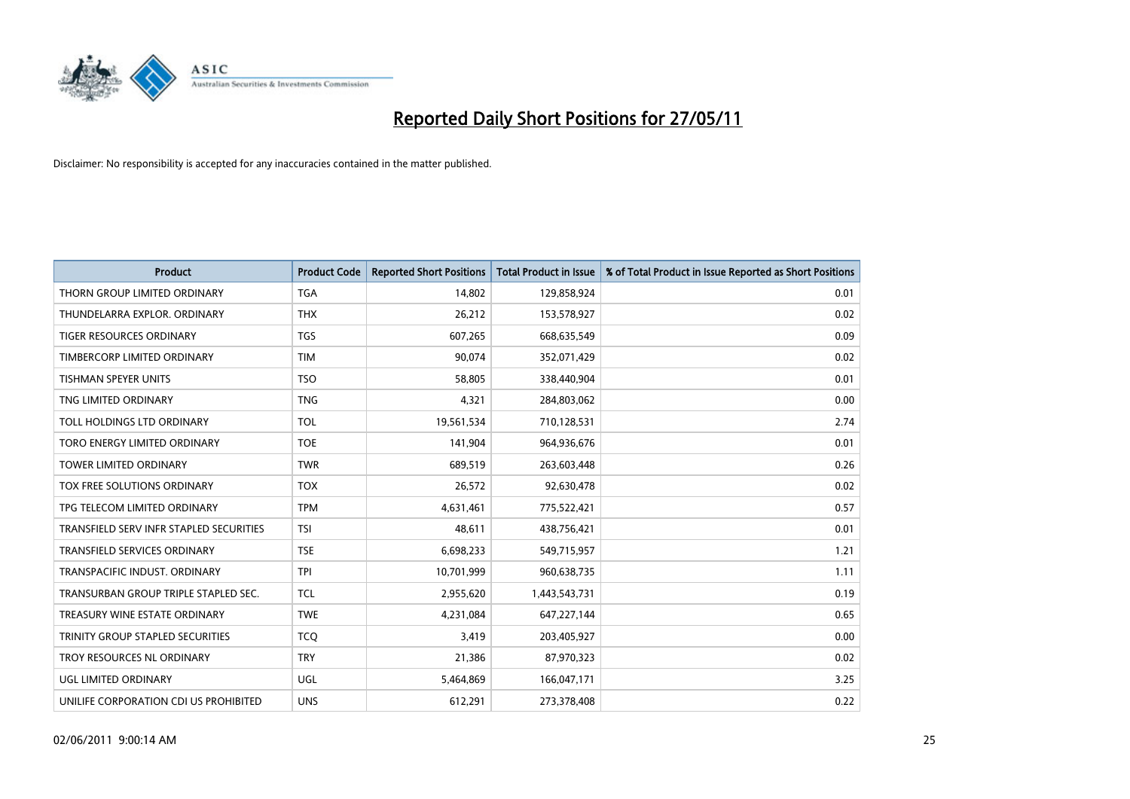

| <b>Product</b>                          | <b>Product Code</b> | <b>Reported Short Positions</b> | <b>Total Product in Issue</b> | % of Total Product in Issue Reported as Short Positions |
|-----------------------------------------|---------------------|---------------------------------|-------------------------------|---------------------------------------------------------|
| THORN GROUP LIMITED ORDINARY            | <b>TGA</b>          | 14,802                          | 129,858,924                   | 0.01                                                    |
| THUNDELARRA EXPLOR. ORDINARY            | <b>THX</b>          | 26,212                          | 153,578,927                   | 0.02                                                    |
| TIGER RESOURCES ORDINARY                | <b>TGS</b>          | 607,265                         | 668,635,549                   | 0.09                                                    |
| TIMBERCORP LIMITED ORDINARY             | <b>TIM</b>          | 90,074                          | 352,071,429                   | 0.02                                                    |
| <b>TISHMAN SPEYER UNITS</b>             | <b>TSO</b>          | 58,805                          | 338,440,904                   | 0.01                                                    |
| TNG LIMITED ORDINARY                    | <b>TNG</b>          | 4,321                           | 284,803,062                   | 0.00                                                    |
| TOLL HOLDINGS LTD ORDINARY              | <b>TOL</b>          | 19,561,534                      | 710,128,531                   | 2.74                                                    |
| TORO ENERGY LIMITED ORDINARY            | <b>TOE</b>          | 141,904                         | 964,936,676                   | 0.01                                                    |
| TOWER LIMITED ORDINARY                  | <b>TWR</b>          | 689,519                         | 263,603,448                   | 0.26                                                    |
| TOX FREE SOLUTIONS ORDINARY             | <b>TOX</b>          | 26,572                          | 92,630,478                    | 0.02                                                    |
| TPG TELECOM LIMITED ORDINARY            | <b>TPM</b>          | 4,631,461                       | 775,522,421                   | 0.57                                                    |
| TRANSFIELD SERV INFR STAPLED SECURITIES | <b>TSI</b>          | 48.611                          | 438,756,421                   | 0.01                                                    |
| <b>TRANSFIELD SERVICES ORDINARY</b>     | <b>TSE</b>          | 6,698,233                       | 549,715,957                   | 1.21                                                    |
| TRANSPACIFIC INDUST, ORDINARY           | <b>TPI</b>          | 10,701,999                      | 960,638,735                   | 1.11                                                    |
| TRANSURBAN GROUP TRIPLE STAPLED SEC.    | <b>TCL</b>          | 2,955,620                       | 1,443,543,731                 | 0.19                                                    |
| TREASURY WINE ESTATE ORDINARY           | <b>TWE</b>          | 4,231,084                       | 647,227,144                   | 0.65                                                    |
| TRINITY GROUP STAPLED SECURITIES        | <b>TCQ</b>          | 3,419                           | 203,405,927                   | 0.00                                                    |
| TROY RESOURCES NL ORDINARY              | <b>TRY</b>          | 21,386                          | 87,970,323                    | 0.02                                                    |
| <b>UGL LIMITED ORDINARY</b>             | <b>UGL</b>          | 5,464,869                       | 166,047,171                   | 3.25                                                    |
| UNILIFE CORPORATION CDI US PROHIBITED   | <b>UNS</b>          | 612,291                         | 273,378,408                   | 0.22                                                    |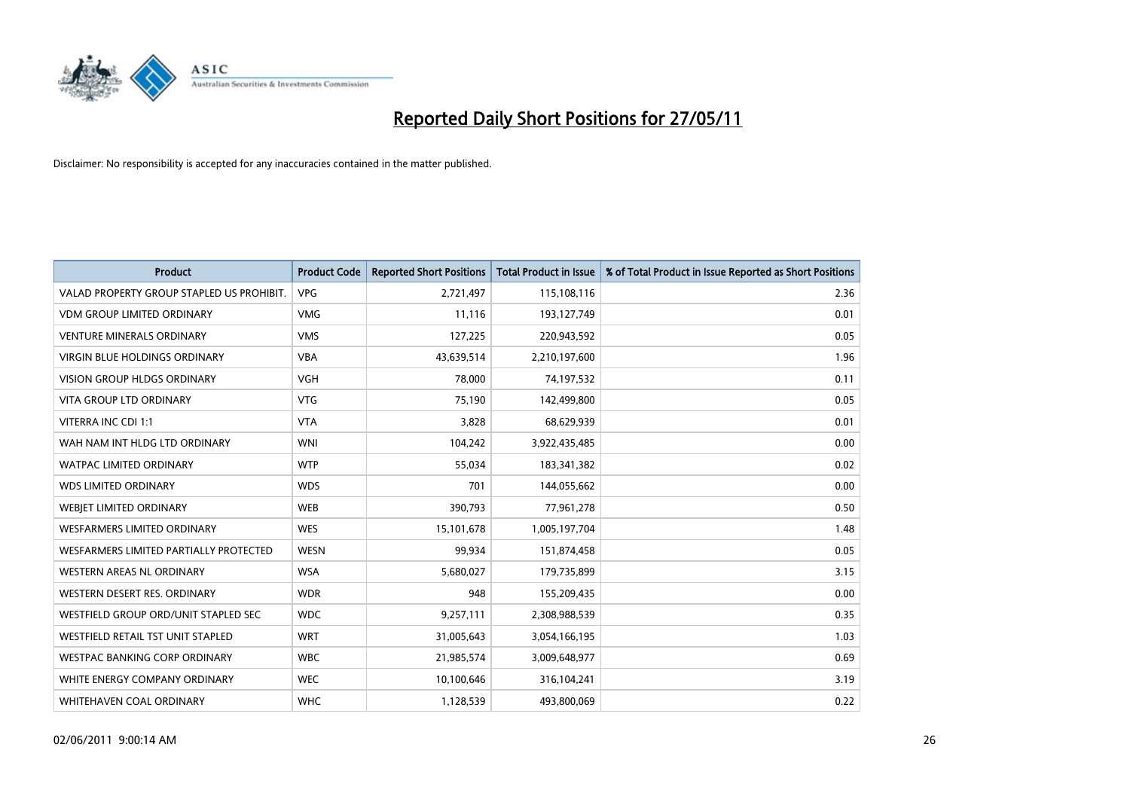

| <b>Product</b>                            | <b>Product Code</b> | <b>Reported Short Positions</b> | <b>Total Product in Issue</b> | % of Total Product in Issue Reported as Short Positions |
|-------------------------------------------|---------------------|---------------------------------|-------------------------------|---------------------------------------------------------|
| VALAD PROPERTY GROUP STAPLED US PROHIBIT. | <b>VPG</b>          | 2,721,497                       | 115,108,116                   | 2.36                                                    |
| <b>VDM GROUP LIMITED ORDINARY</b>         | <b>VMG</b>          | 11,116                          | 193,127,749                   | 0.01                                                    |
| <b>VENTURE MINERALS ORDINARY</b>          | <b>VMS</b>          | 127,225                         | 220,943,592                   | 0.05                                                    |
| <b>VIRGIN BLUE HOLDINGS ORDINARY</b>      | <b>VBA</b>          | 43,639,514                      | 2,210,197,600                 | 1.96                                                    |
| <b>VISION GROUP HLDGS ORDINARY</b>        | <b>VGH</b>          | 78,000                          | 74,197,532                    | 0.11                                                    |
| <b>VITA GROUP LTD ORDINARY</b>            | VTG                 | 75,190                          | 142,499,800                   | 0.05                                                    |
| VITERRA INC CDI 1:1                       | <b>VTA</b>          | 3,828                           | 68,629,939                    | 0.01                                                    |
| WAH NAM INT HLDG LTD ORDINARY             | <b>WNI</b>          | 104,242                         | 3,922,435,485                 | 0.00                                                    |
| <b>WATPAC LIMITED ORDINARY</b>            | <b>WTP</b>          | 55,034                          | 183,341,382                   | 0.02                                                    |
| <b>WDS LIMITED ORDINARY</b>               | <b>WDS</b>          | 701                             | 144,055,662                   | 0.00                                                    |
| WEBJET LIMITED ORDINARY                   | <b>WEB</b>          | 390,793                         | 77,961,278                    | 0.50                                                    |
| <b>WESFARMERS LIMITED ORDINARY</b>        | <b>WES</b>          | 15,101,678                      | 1,005,197,704                 | 1.48                                                    |
| WESFARMERS LIMITED PARTIALLY PROTECTED    | <b>WESN</b>         | 99,934                          | 151,874,458                   | 0.05                                                    |
| <b>WESTERN AREAS NL ORDINARY</b>          | <b>WSA</b>          | 5,680,027                       | 179,735,899                   | 3.15                                                    |
| WESTERN DESERT RES. ORDINARY              | <b>WDR</b>          | 948                             | 155,209,435                   | 0.00                                                    |
| WESTFIELD GROUP ORD/UNIT STAPLED SEC      | <b>WDC</b>          | 9,257,111                       | 2,308,988,539                 | 0.35                                                    |
| WESTFIELD RETAIL TST UNIT STAPLED         | <b>WRT</b>          | 31,005,643                      | 3,054,166,195                 | 1.03                                                    |
| <b>WESTPAC BANKING CORP ORDINARY</b>      | <b>WBC</b>          | 21,985,574                      | 3,009,648,977                 | 0.69                                                    |
| WHITE ENERGY COMPANY ORDINARY             | <b>WEC</b>          | 10,100,646                      | 316,104,241                   | 3.19                                                    |
| <b>WHITEHAVEN COAL ORDINARY</b>           | <b>WHC</b>          | 1,128,539                       | 493,800,069                   | 0.22                                                    |